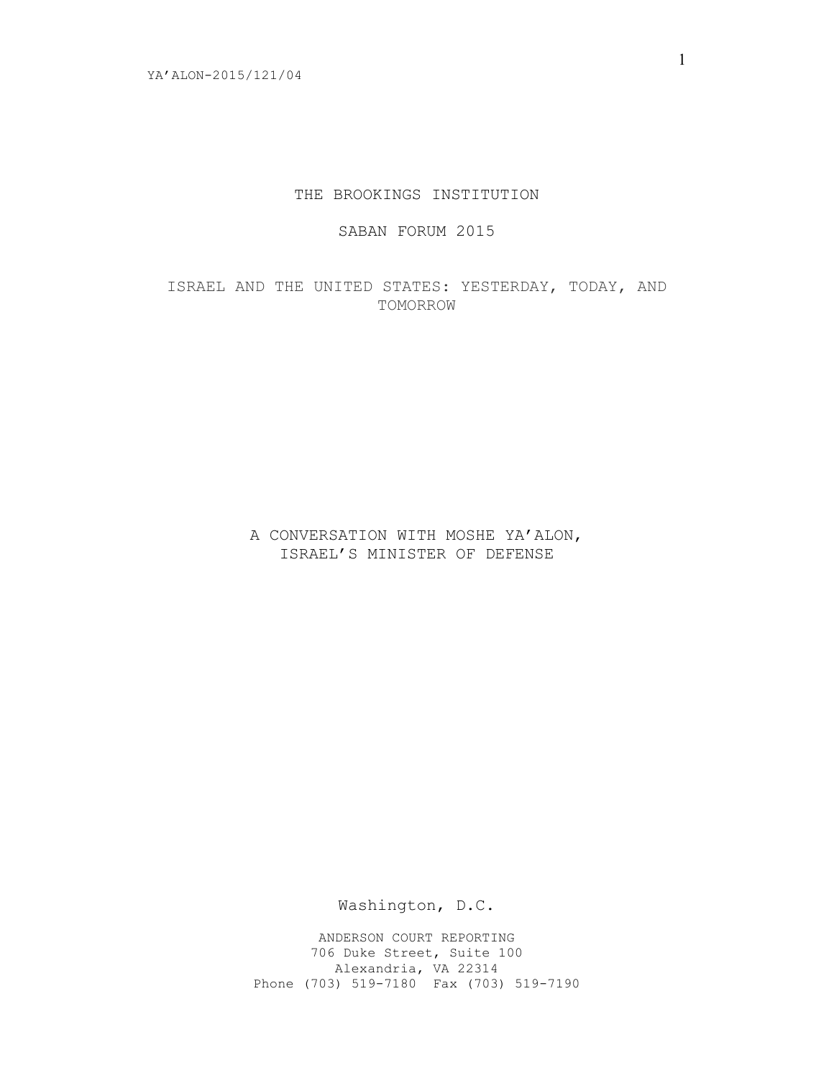## THE BROOKINGS INSTITUTION

#### SABAN FORUM 2015

ISRAEL AND THE UNITED STATES: YESTERDAY, TODAY, AND TOMORROW

> A CONVERSATION WITH MOSHE YA'ALON, ISRAEL'S MINISTER OF DEFENSE

> > Washington, D.C.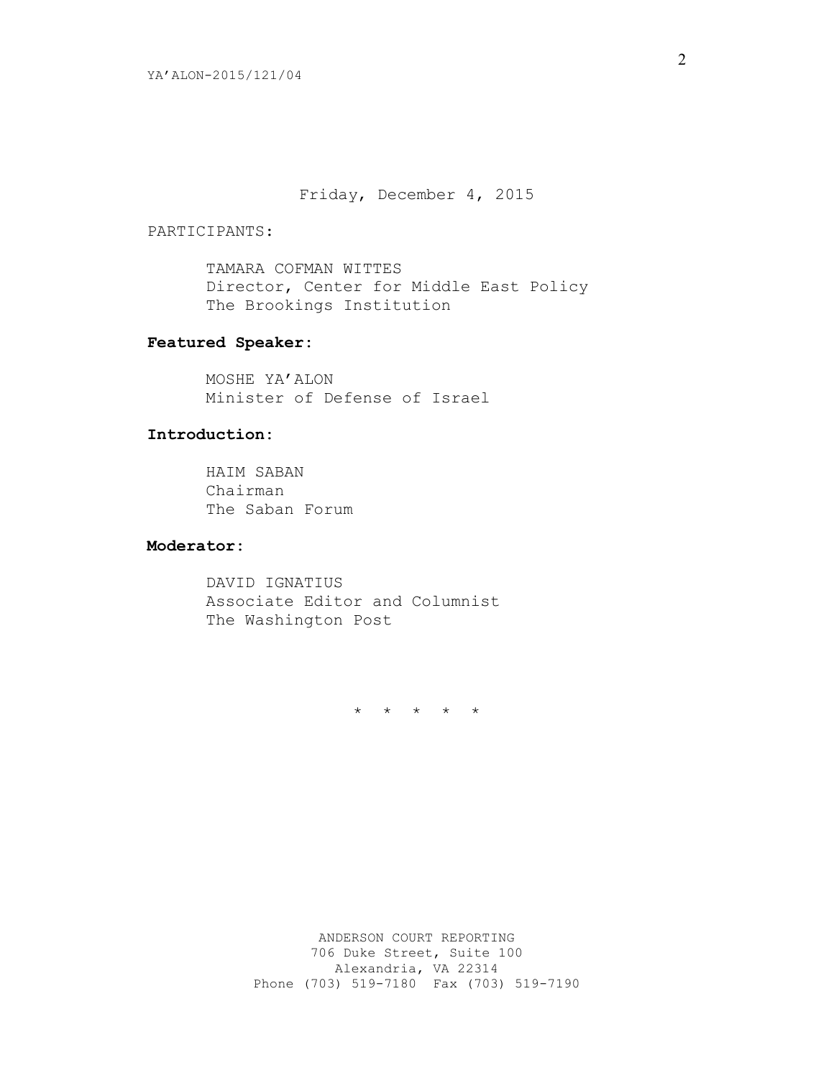Friday, December 4, 2015

### PARTICIPANTS:

TAMARA COFMAN WITTES Director, Center for Middle East Policy The Brookings Institution

### **Featured Speaker:**

MOSHE YA'ALON Minister of Defense of Israel

## **Introduction:**

HAIM SABAN Chairman The Saban Forum

# **Moderator:**

DAVID IGNATIUS Associate Editor and Columnist The Washington Post

\* \* \* \* \*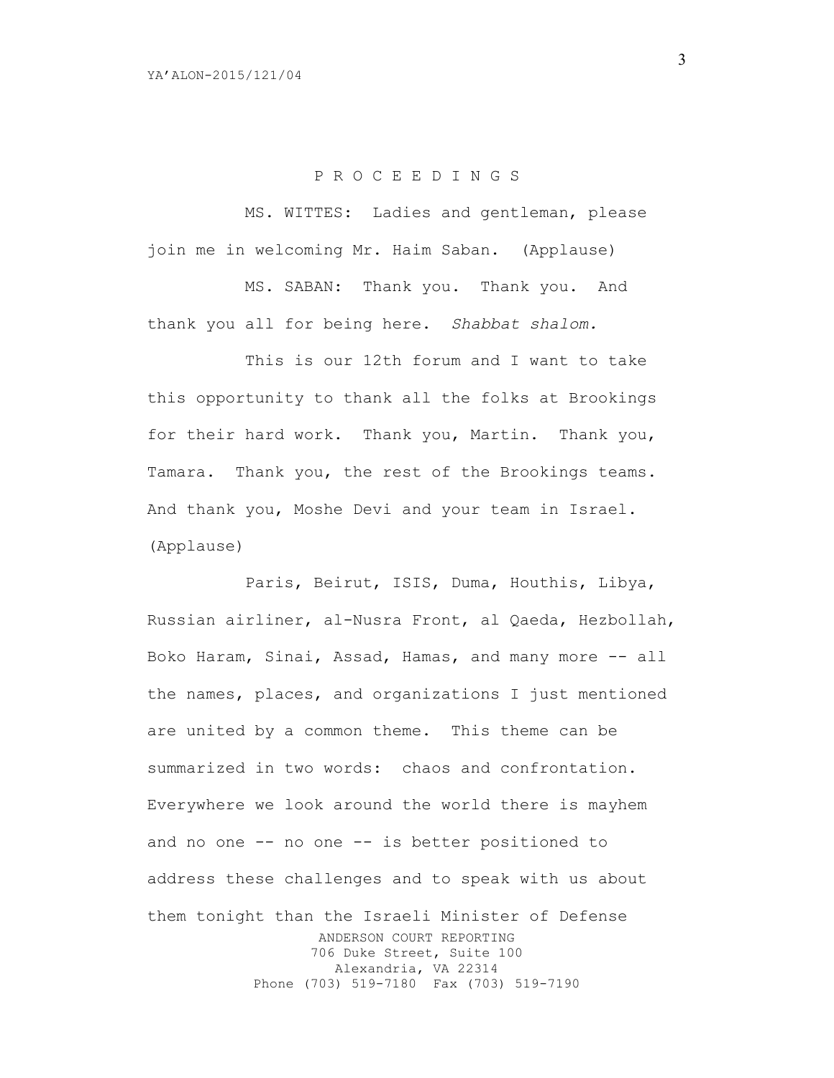### P R O C E E D I N G S

MS. WITTES: Ladies and gentleman, please join me in welcoming Mr. Haim Saban. (Applause)

MS. SABAN: Thank you. Thank you. And thank you all for being here. *Shabbat shalom.*

This is our 12th forum and I want to take this opportunity to thank all the folks at Brookings for their hard work. Thank you, Martin. Thank you, Tamara. Thank you, the rest of the Brookings teams. And thank you, Moshe Devi and your team in Israel. (Applause)

ANDERSON COURT REPORTING 706 Duke Street, Suite 100 Alexandria, VA 22314 Phone (703) 519-7180 Fax (703) 519-7190 Paris, Beirut, ISIS, Duma, Houthis, Libya, Russian airliner, al-Nusra Front, al Qaeda, Hezbollah, Boko Haram, Sinai, Assad, Hamas, and many more -- all the names, places, and organizations I just mentioned are united by a common theme. This theme can be summarized in two words: chaos and confrontation. Everywhere we look around the world there is mayhem and no one -- no one -- is better positioned to address these challenges and to speak with us about them tonight than the Israeli Minister of Defense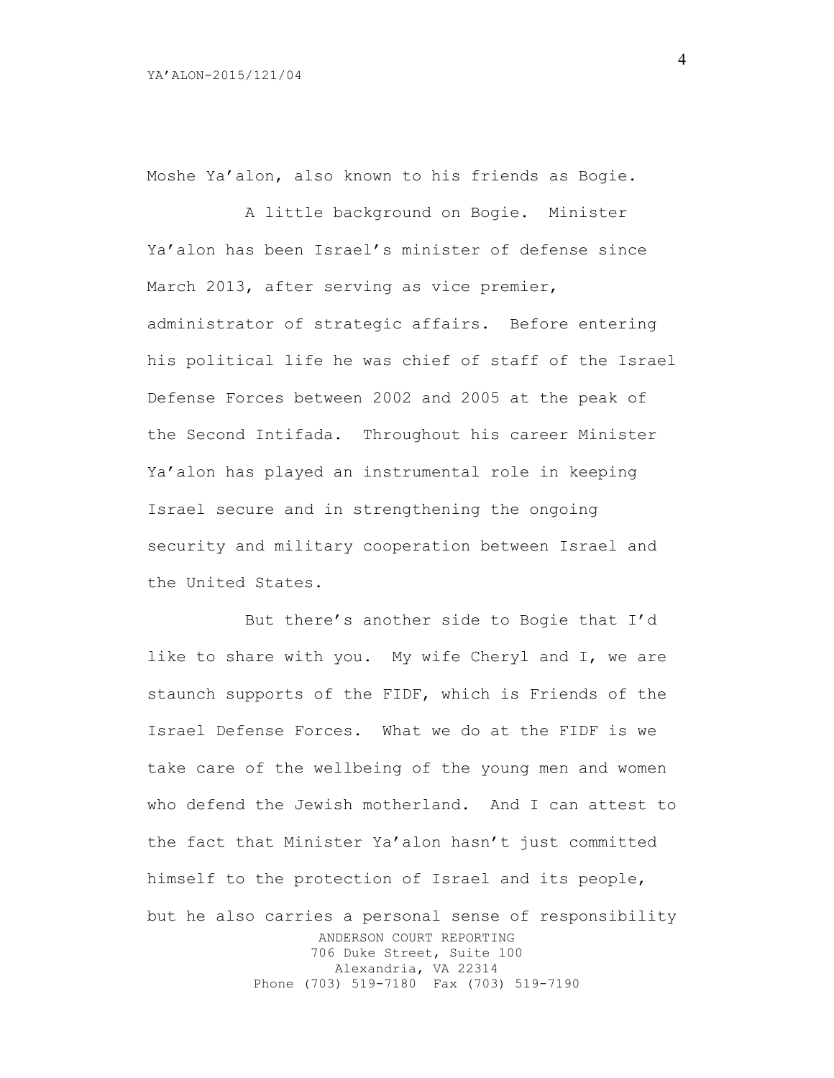Moshe Ya'alon, also known to his friends as Bogie.

A little background on Bogie. Minister Ya'alon has been Israel's minister of defense since March 2013, after serving as vice premier, administrator of strategic affairs. Before entering his political life he was chief of staff of the Israel Defense Forces between 2002 and 2005 at the peak of the Second Intifada. Throughout his career Minister Ya'alon has played an instrumental role in keeping Israel secure and in strengthening the ongoing security and military cooperation between Israel and the United States.

ANDERSON COURT REPORTING 706 Duke Street, Suite 100 Alexandria, VA 22314 Phone (703) 519-7180 Fax (703) 519-7190 But there's another side to Bogie that I'd like to share with you. My wife Cheryl and I, we are staunch supports of the FIDF, which is Friends of the Israel Defense Forces. What we do at the FIDF is we take care of the wellbeing of the young men and women who defend the Jewish motherland. And I can attest to the fact that Minister Ya'alon hasn't just committed himself to the protection of Israel and its people, but he also carries a personal sense of responsibility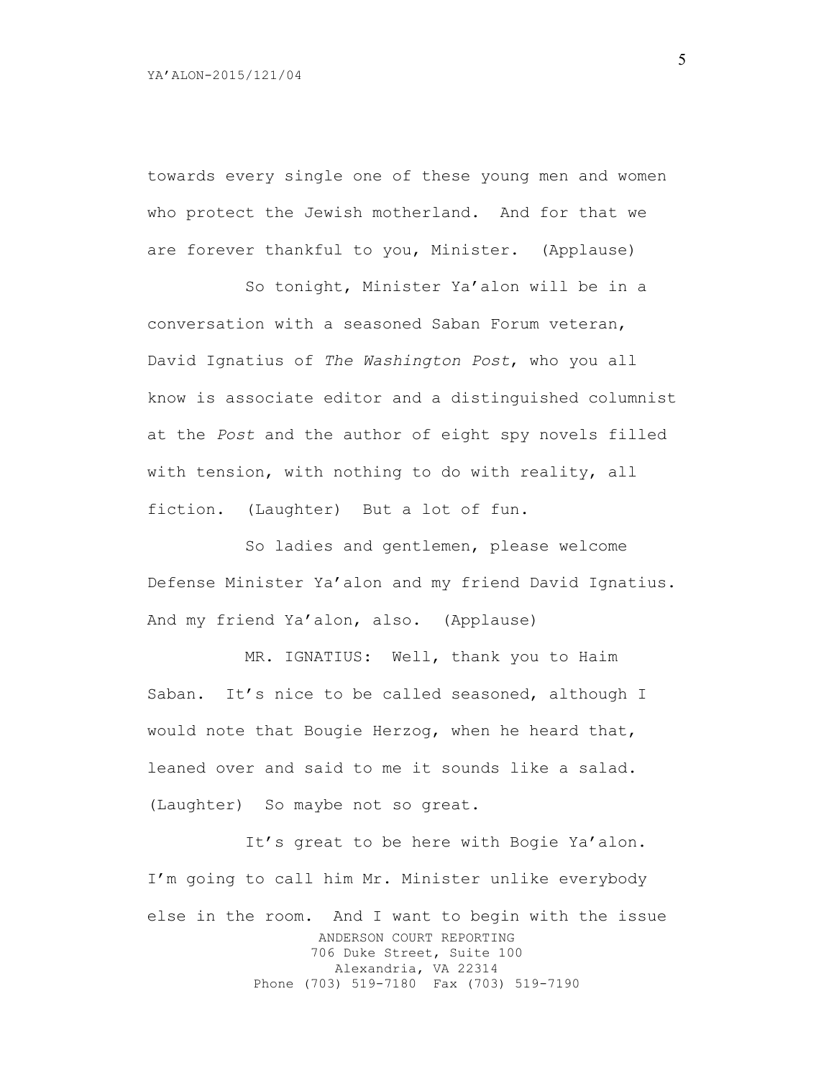towards every single one of these young men and women who protect the Jewish motherland. And for that we are forever thankful to you, Minister. (Applause)

So tonight, Minister Ya'alon will be in a conversation with a seasoned Saban Forum veteran, David Ignatius of *The Washington Post*, who you all know is associate editor and a distinguished columnist at the *Post* and the author of eight spy novels filled with tension, with nothing to do with reality, all fiction. (Laughter) But a lot of fun.

So ladies and gentlemen, please welcome Defense Minister Ya'alon and my friend David Ignatius. And my friend Ya'alon, also. (Applause)

MR. IGNATIUS: Well, thank you to Haim Saban. It's nice to be called seasoned, although I would note that Bougie Herzog, when he heard that, leaned over and said to me it sounds like a salad. (Laughter) So maybe not so great.

ANDERSON COURT REPORTING 706 Duke Street, Suite 100 Alexandria, VA 22314 Phone (703) 519-7180 Fax (703) 519-7190 It's great to be here with Bogie Ya'alon. I'm going to call him Mr. Minister unlike everybody else in the room. And I want to begin with the issue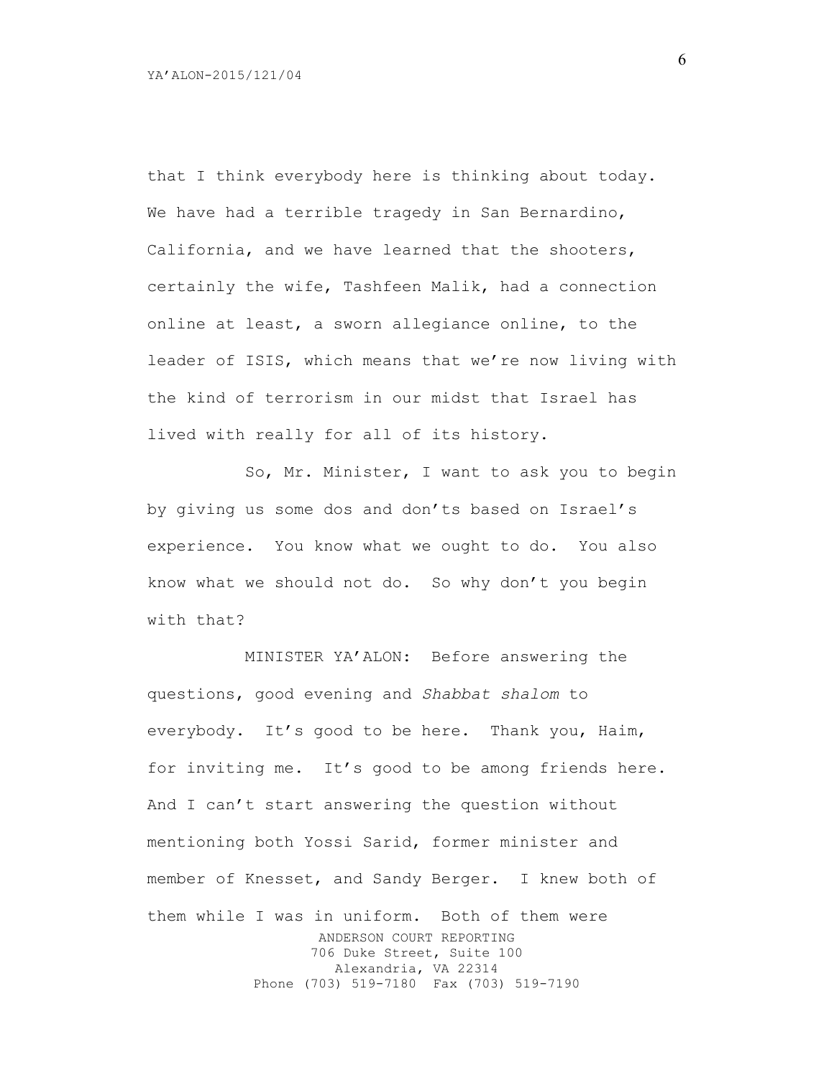that I think everybody here is thinking about today. We have had a terrible tragedy in San Bernardino, California, and we have learned that the shooters, certainly the wife, Tashfeen Malik, had a connection online at least, a sworn allegiance online, to the leader of ISIS, which means that we're now living with the kind of terrorism in our midst that Israel has lived with really for all of its history.

So, Mr. Minister, I want to ask you to begin by giving us some dos and don'ts based on Israel's experience. You know what we ought to do. You also know what we should not do. So why don't you begin with that?

ANDERSON COURT REPORTING 706 Duke Street, Suite 100 Alexandria, VA 22314 Phone (703) 519-7180 Fax (703) 519-7190 MINISTER YA'ALON: Before answering the questions, good evening and *Shabbat shalom* to everybody. It's good to be here. Thank you, Haim, for inviting me. It's good to be among friends here. And I can't start answering the question without mentioning both Yossi Sarid, former minister and member of Knesset, and Sandy Berger. I knew both of them while I was in uniform. Both of them were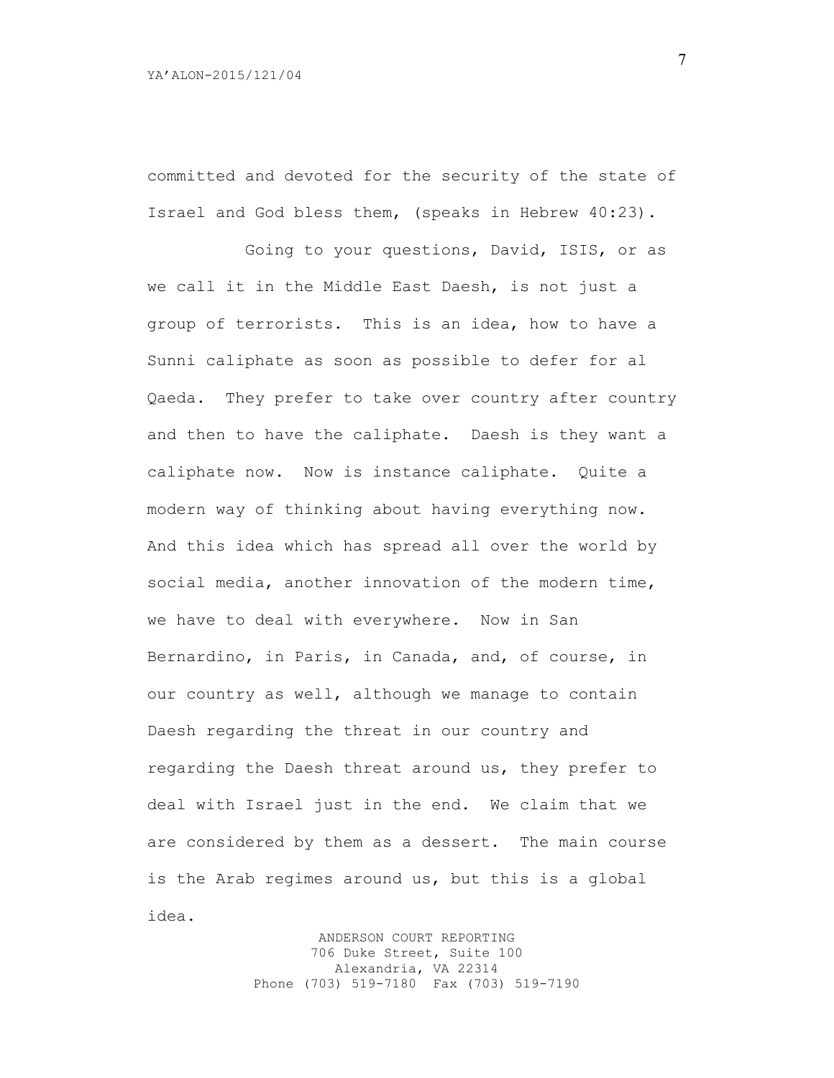committed and devoted for the security of the state of Israel and God bless them, (speaks in Hebrew 40:23).

Going to your questions, David, ISIS, or as we call it in the Middle East Daesh, is not just a group of terrorists. This is an idea, how to have a Sunni caliphate as soon as possible to defer for al Qaeda. They prefer to take over country after country and then to have the caliphate. Daesh is they want a caliphate now. Now is instance caliphate. Quite a modern way of thinking about having everything now. And this idea which has spread all over the world by social media, another innovation of the modern time, we have to deal with everywhere. Now in San Bernardino, in Paris, in Canada, and, of course, in our country as well, although we manage to contain Daesh regarding the threat in our country and regarding the Daesh threat around us, they prefer to deal with Israel just in the end. We claim that we are considered by them as a dessert. The main course is the Arab regimes around us, but this is a global idea.

> ANDERSON COURT REPORTING 706 Duke Street, Suite 100 Alexandria, VA 22314 Phone (703) 519-7180 Fax (703) 519-7190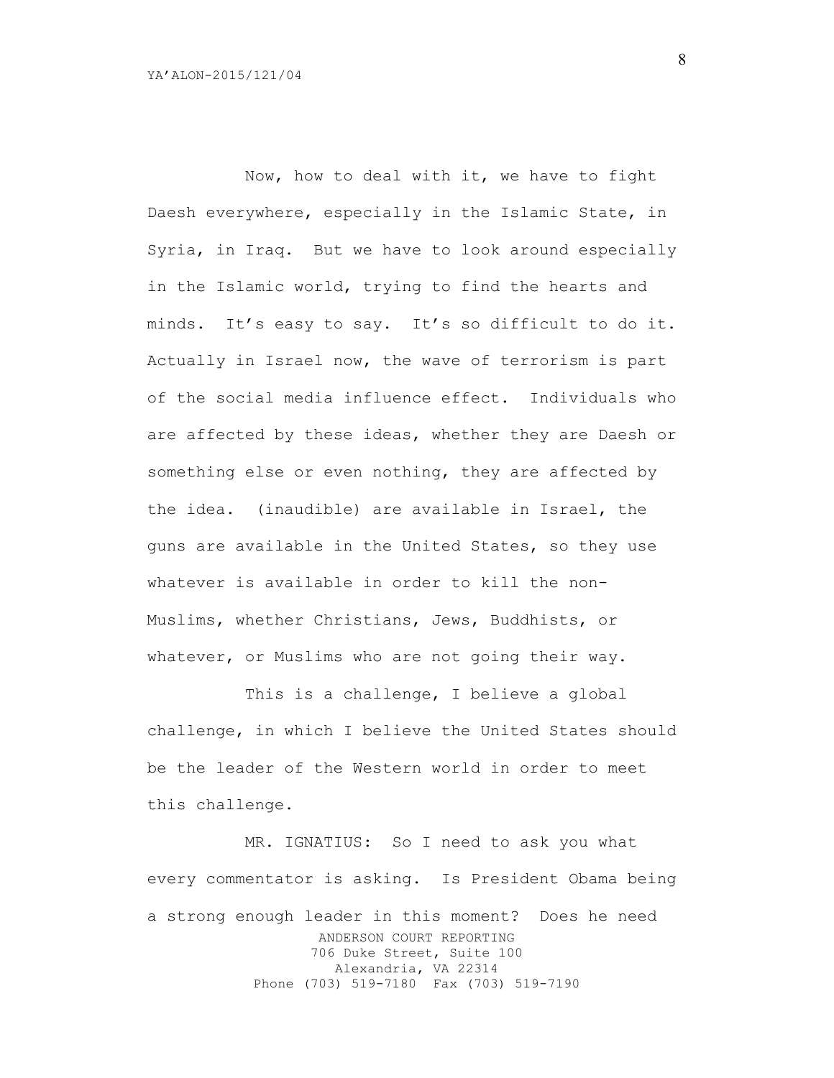Now, how to deal with it, we have to fight Daesh everywhere, especially in the Islamic State, in Syria, in Iraq. But we have to look around especially in the Islamic world, trying to find the hearts and minds. It's easy to say. It's so difficult to do it. Actually in Israel now, the wave of terrorism is part of the social media influence effect. Individuals who are affected by these ideas, whether they are Daesh or something else or even nothing, they are affected by the idea. (inaudible) are available in Israel, the guns are available in the United States, so they use whatever is available in order to kill the non-Muslims, whether Christians, Jews, Buddhists, or whatever, or Muslims who are not going their way.

This is a challenge, I believe a global challenge, in which I believe the United States should be the leader of the Western world in order to meet this challenge.

ANDERSON COURT REPORTING 706 Duke Street, Suite 100 Alexandria, VA 22314 Phone (703) 519-7180 Fax (703) 519-7190 MR. IGNATIUS: So I need to ask you what every commentator is asking. Is President Obama being a strong enough leader in this moment? Does he need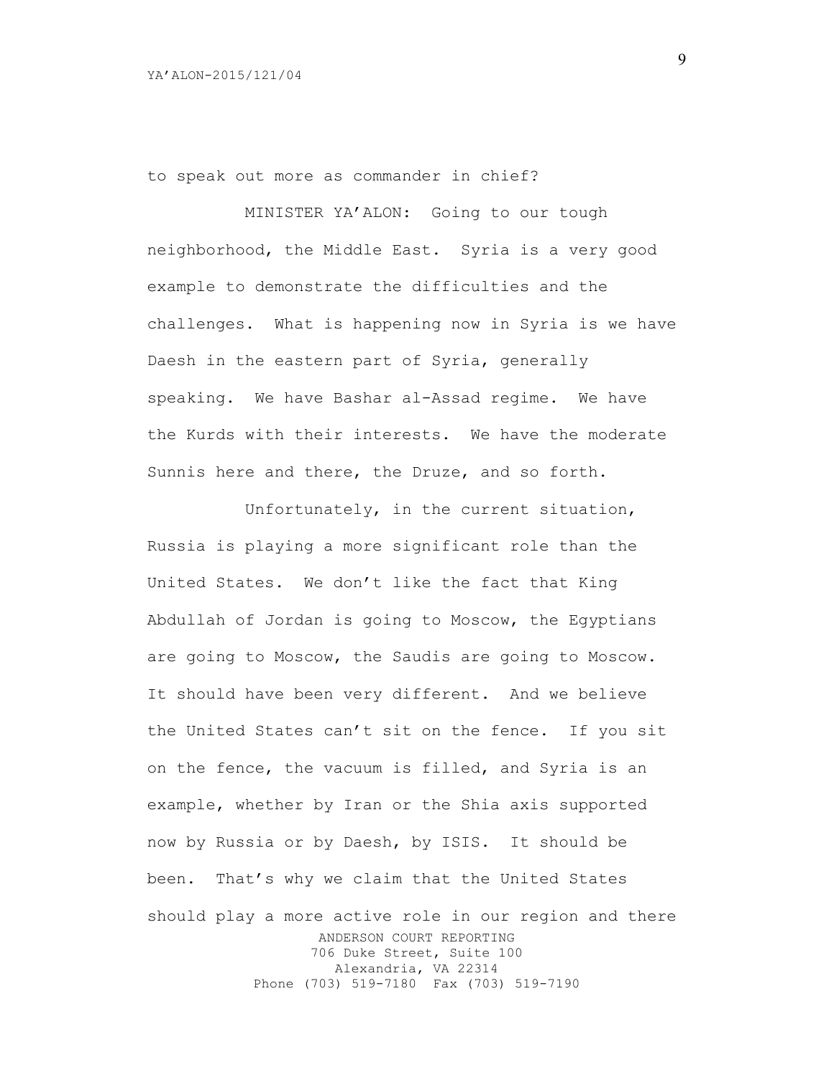to speak out more as commander in chief?

MINISTER YA'ALON: Going to our tough neighborhood, the Middle East. Syria is a very good example to demonstrate the difficulties and the challenges. What is happening now in Syria is we have Daesh in the eastern part of Syria, generally speaking. We have Bashar al-Assad regime. We have the Kurds with their interests. We have the moderate Sunnis here and there, the Druze, and so forth.

ANDERSON COURT REPORTING 706 Duke Street, Suite 100 Alexandria, VA 22314 Phone (703) 519-7180 Fax (703) 519-7190 Unfortunately, in the current situation, Russia is playing a more significant role than the United States. We don't like the fact that King Abdullah of Jordan is going to Moscow, the Egyptians are going to Moscow, the Saudis are going to Moscow. It should have been very different. And we believe the United States can't sit on the fence. If you sit on the fence, the vacuum is filled, and Syria is an example, whether by Iran or the Shia axis supported now by Russia or by Daesh, by ISIS. It should be been. That's why we claim that the United States should play a more active role in our region and there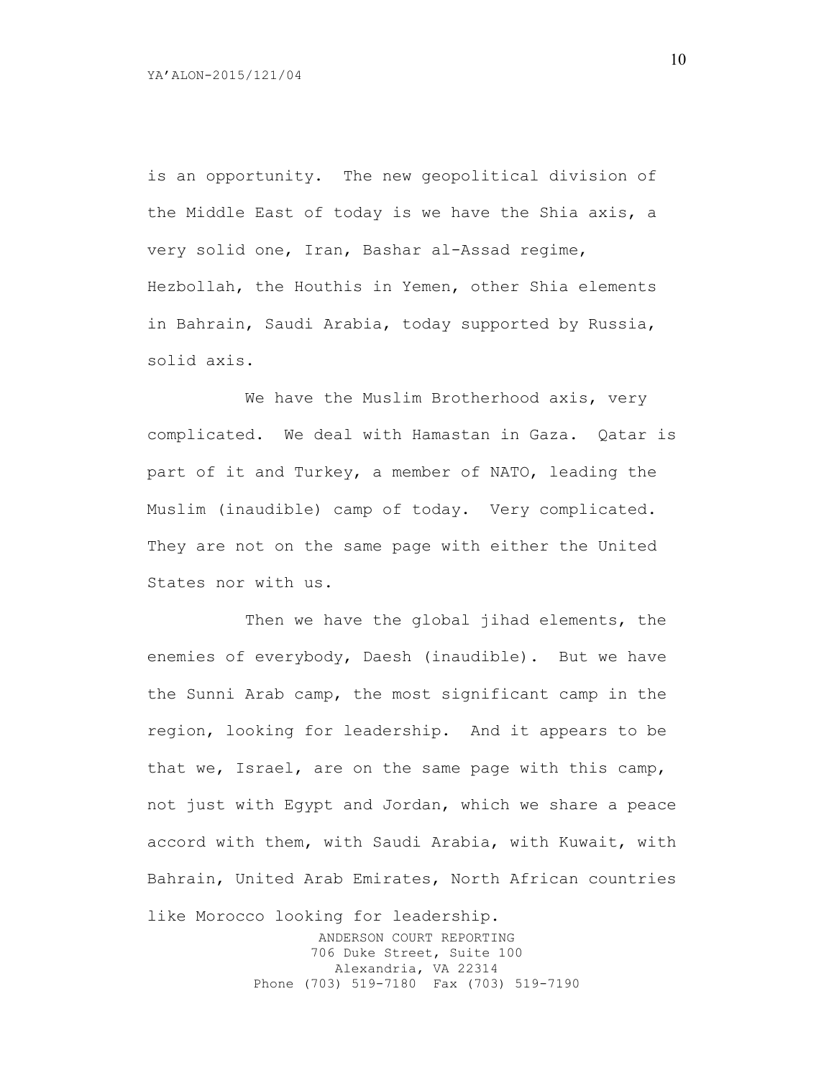is an opportunity. The new geopolitical division of the Middle East of today is we have the Shia axis, a very solid one, Iran, Bashar al-Assad regime, Hezbollah, the Houthis in Yemen, other Shia elements in Bahrain, Saudi Arabia, today supported by Russia, solid axis.

We have the Muslim Brotherhood axis, very complicated. We deal with Hamastan in Gaza. Qatar is part of it and Turkey, a member of NATO, leading the Muslim (inaudible) camp of today. Very complicated. They are not on the same page with either the United States nor with us.

ANDERSON COURT REPORTING 706 Duke Street, Suite 100 Alexandria, VA 22314 Phone (703) 519-7180 Fax (703) 519-7190 Then we have the global jihad elements, the enemies of everybody, Daesh (inaudible). But we have the Sunni Arab camp, the most significant camp in the region, looking for leadership. And it appears to be that we, Israel, are on the same page with this camp, not just with Egypt and Jordan, which we share a peace accord with them, with Saudi Arabia, with Kuwait, with Bahrain, United Arab Emirates, North African countries like Morocco looking for leadership.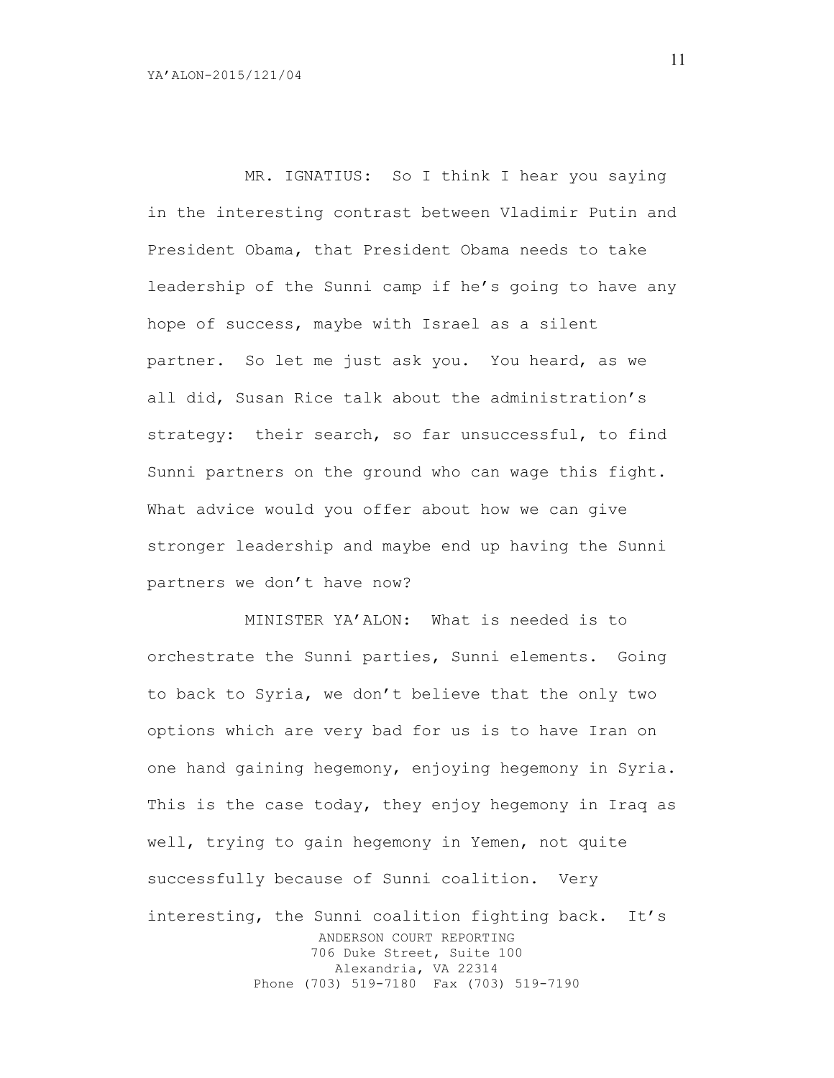MR. IGNATIUS: So I think I hear you saying in the interesting contrast between Vladimir Putin and President Obama, that President Obama needs to take leadership of the Sunni camp if he's going to have any hope of success, maybe with Israel as a silent partner. So let me just ask you. You heard, as we all did, Susan Rice talk about the administration's strategy: their search, so far unsuccessful, to find Sunni partners on the ground who can wage this fight. What advice would you offer about how we can give stronger leadership and maybe end up having the Sunni partners we don't have now?

ANDERSON COURT REPORTING 706 Duke Street, Suite 100 Alexandria, VA 22314 Phone (703) 519-7180 Fax (703) 519-7190 MINISTER YA'ALON: What is needed is to orchestrate the Sunni parties, Sunni elements. Going to back to Syria, we don't believe that the only two options which are very bad for us is to have Iran on one hand gaining hegemony, enjoying hegemony in Syria. This is the case today, they enjoy hegemony in Iraq as well, trying to gain hegemony in Yemen, not quite successfully because of Sunni coalition. Very interesting, the Sunni coalition fighting back. It's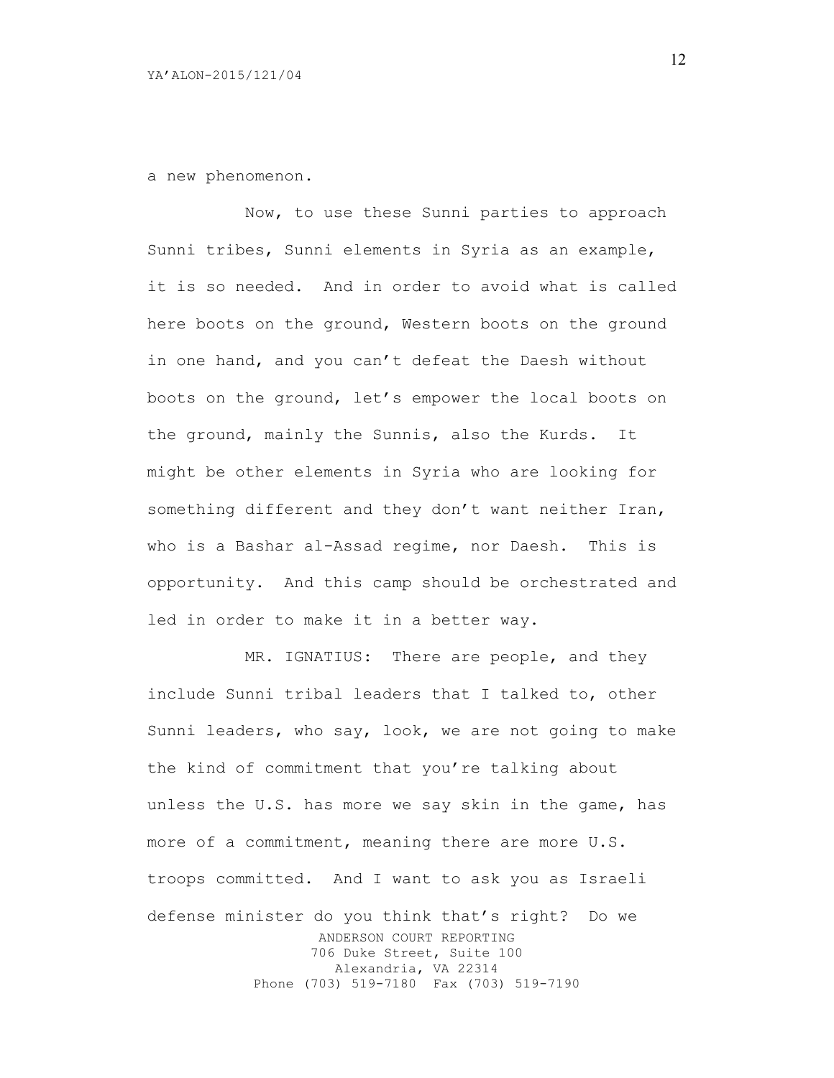a new phenomenon.

Now, to use these Sunni parties to approach Sunni tribes, Sunni elements in Syria as an example, it is so needed. And in order to avoid what is called here boots on the ground, Western boots on the ground in one hand, and you can't defeat the Daesh without boots on the ground, let's empower the local boots on the ground, mainly the Sunnis, also the Kurds. It might be other elements in Syria who are looking for something different and they don't want neither Iran, who is a Bashar al-Assad regime, nor Daesh. This is opportunity. And this camp should be orchestrated and led in order to make it in a better way.

ANDERSON COURT REPORTING 706 Duke Street, Suite 100 Alexandria, VA 22314 Phone (703) 519-7180 Fax (703) 519-7190 MR. IGNATIUS: There are people, and they include Sunni tribal leaders that I talked to, other Sunni leaders, who say, look, we are not going to make the kind of commitment that you're talking about unless the U.S. has more we say skin in the game, has more of a commitment, meaning there are more U.S. troops committed. And I want to ask you as Israeli defense minister do you think that's right? Do we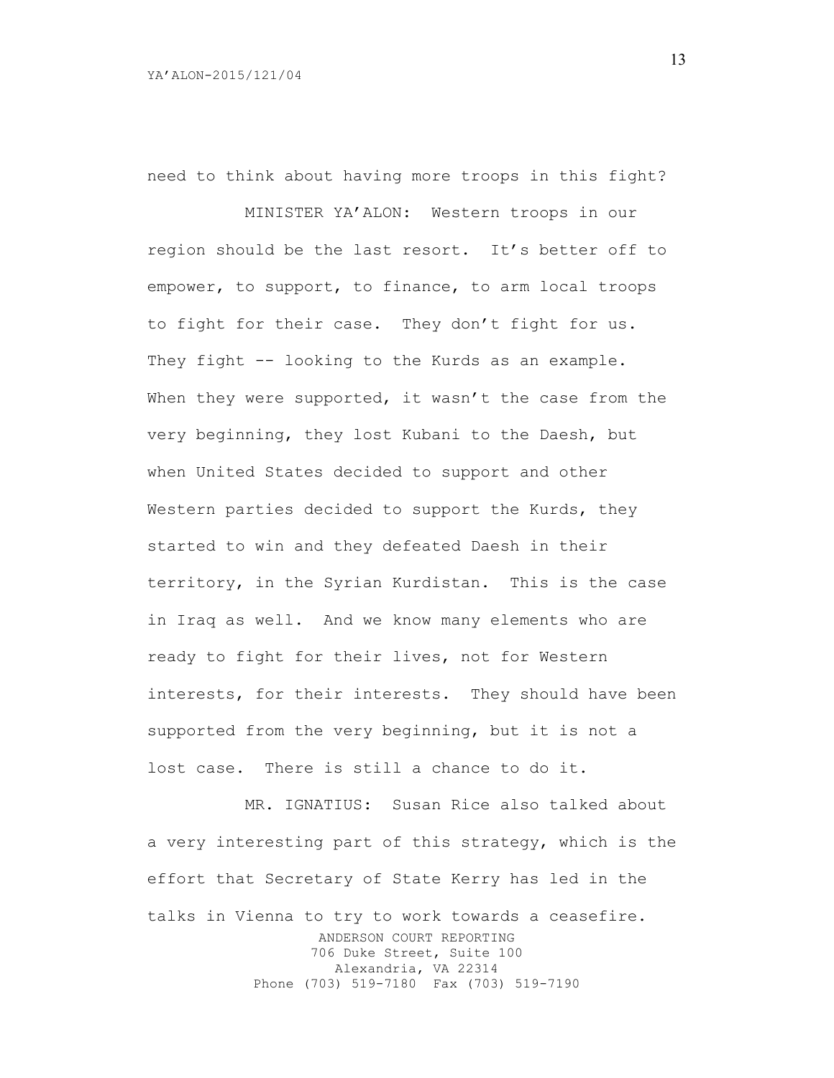need to think about having more troops in this fight?

MINISTER YA'ALON: Western troops in our region should be the last resort. It's better off to empower, to support, to finance, to arm local troops to fight for their case. They don't fight for us. They fight -- looking to the Kurds as an example. When they were supported, it wasn't the case from the very beginning, they lost Kubani to the Daesh, but when United States decided to support and other Western parties decided to support the Kurds, they started to win and they defeated Daesh in their territory, in the Syrian Kurdistan. This is the case in Iraq as well. And we know many elements who are ready to fight for their lives, not for Western interests, for their interests. They should have been supported from the very beginning, but it is not a lost case. There is still a chance to do it.

ANDERSON COURT REPORTING 706 Duke Street, Suite 100 Alexandria, VA 22314 Phone (703) 519-7180 Fax (703) 519-7190 MR. IGNATIUS: Susan Rice also talked about a very interesting part of this strategy, which is the effort that Secretary of State Kerry has led in the talks in Vienna to try to work towards a ceasefire.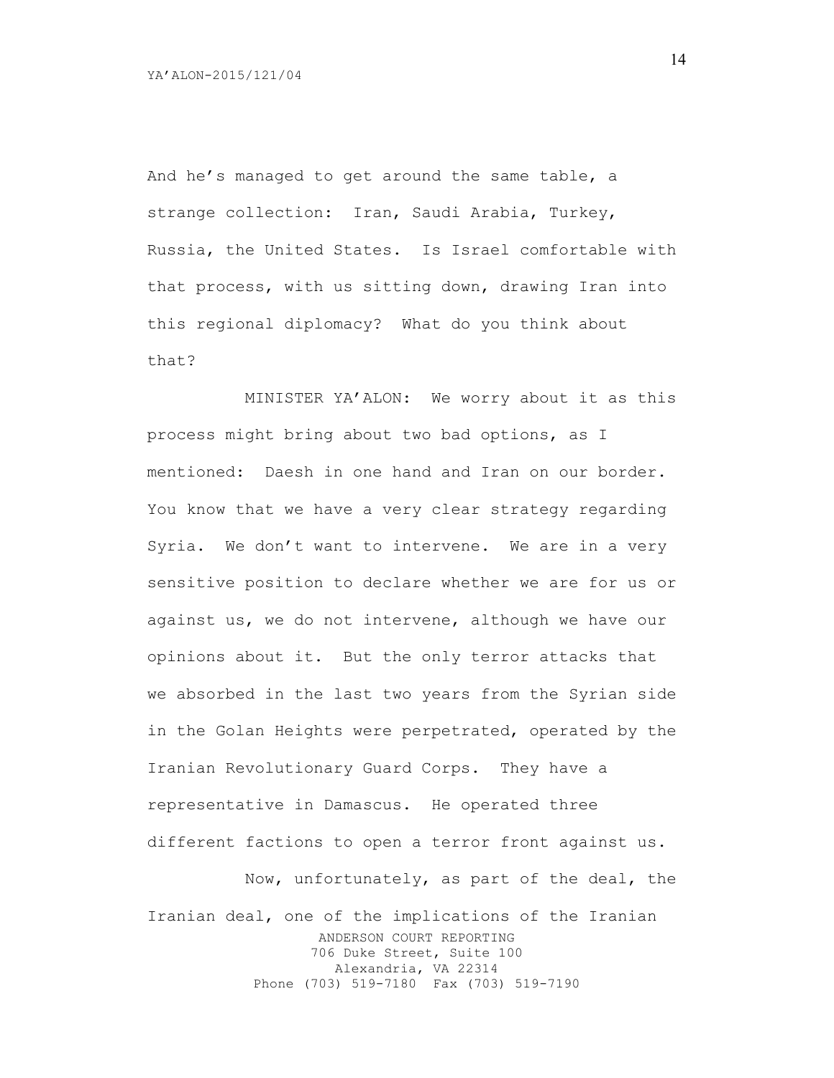And he's managed to get around the same table, a strange collection: Iran, Saudi Arabia, Turkey, Russia, the United States. Is Israel comfortable with that process, with us sitting down, drawing Iran into this regional diplomacy? What do you think about that?

MINISTER YA'ALON: We worry about it as this process might bring about two bad options, as I mentioned: Daesh in one hand and Iran on our border. You know that we have a very clear strategy regarding Syria. We don't want to intervene. We are in a very sensitive position to declare whether we are for us or against us, we do not intervene, although we have our opinions about it. But the only terror attacks that we absorbed in the last two years from the Syrian side in the Golan Heights were perpetrated, operated by the Iranian Revolutionary Guard Corps. They have a representative in Damascus. He operated three different factions to open a terror front against us.

ANDERSON COURT REPORTING 706 Duke Street, Suite 100 Alexandria, VA 22314 Phone (703) 519-7180 Fax (703) 519-7190 Now, unfortunately, as part of the deal, the Iranian deal, one of the implications of the Iranian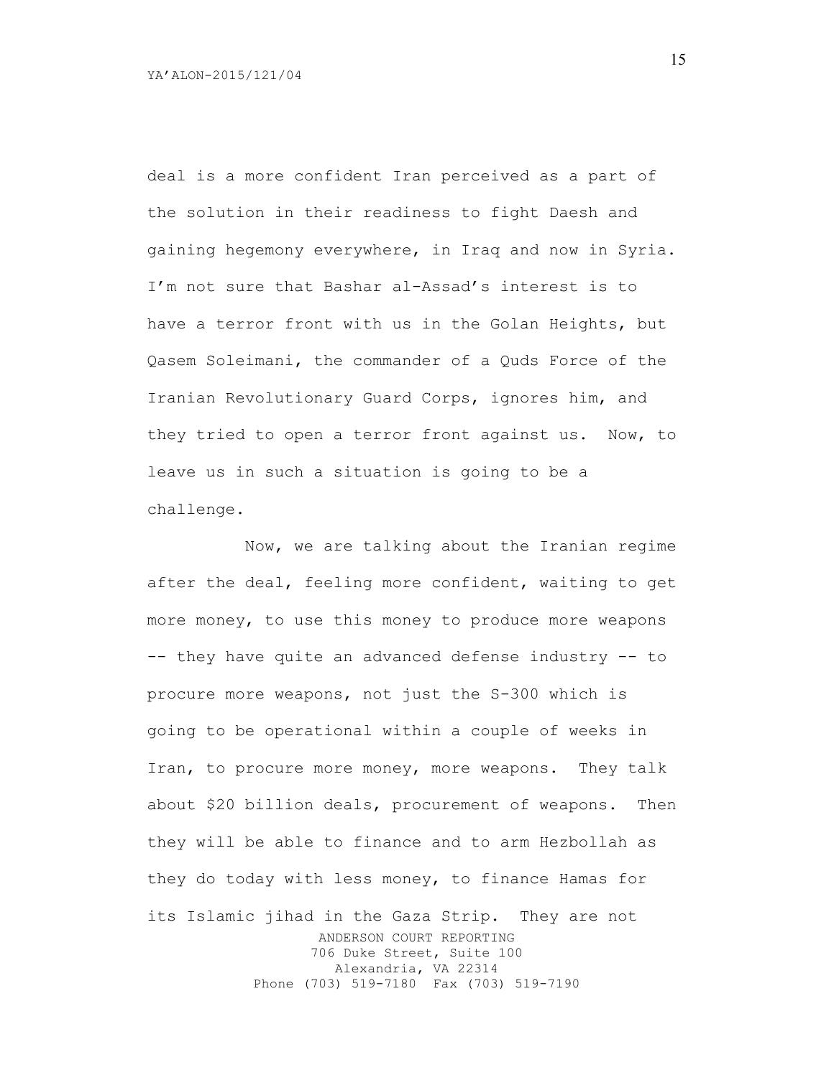deal is a more confident Iran perceived as a part of the solution in their readiness to fight Daesh and gaining hegemony everywhere, in Iraq and now in Syria. I'm not sure that Bashar al-Assad's interest is to have a terror front with us in the Golan Heights, but Qasem Soleimani, the commander of a Quds Force of the Iranian Revolutionary Guard Corps, ignores him, and they tried to open a terror front against us. Now, to leave us in such a situation is going to be a challenge.

ANDERSON COURT REPORTING 706 Duke Street, Suite 100 Alexandria, VA 22314 Phone (703) 519-7180 Fax (703) 519-7190 Now, we are talking about the Iranian regime after the deal, feeling more confident, waiting to get more money, to use this money to produce more weapons -- they have quite an advanced defense industry -- to procure more weapons, not just the S-300 which is going to be operational within a couple of weeks in Iran, to procure more money, more weapons. They talk about \$20 billion deals, procurement of weapons. Then they will be able to finance and to arm Hezbollah as they do today with less money, to finance Hamas for its Islamic jihad in the Gaza Strip. They are not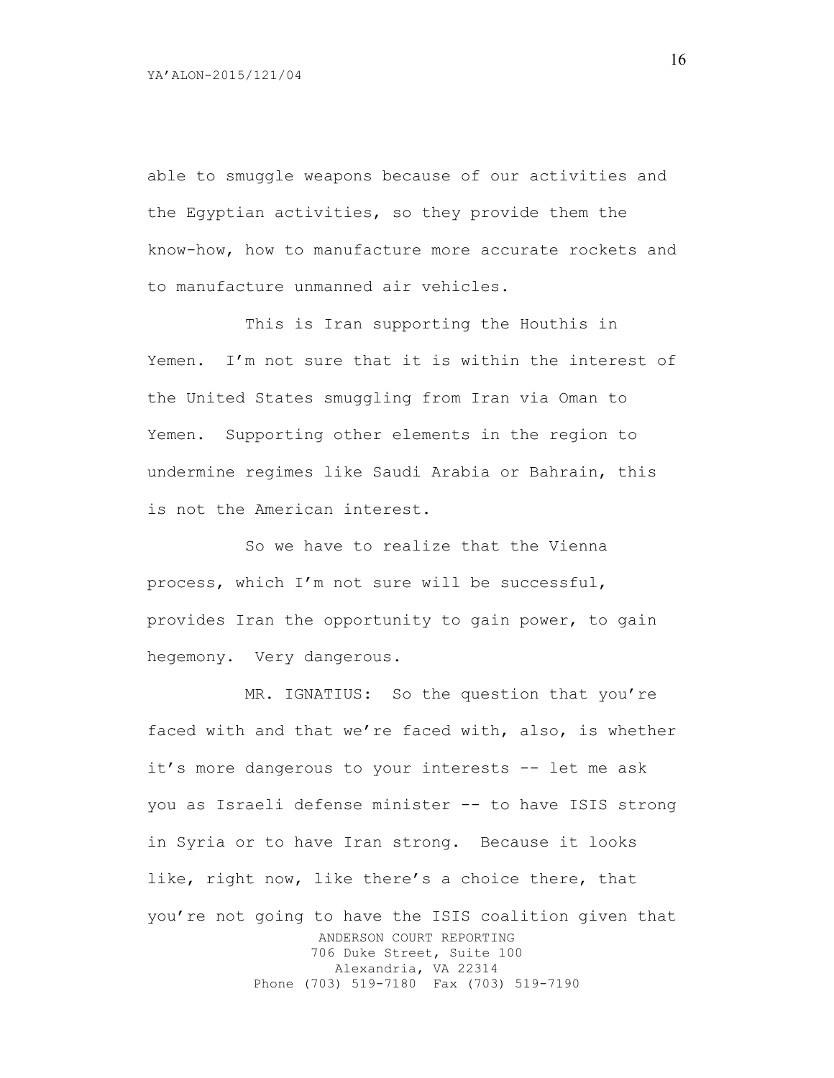able to smuggle weapons because of our activities and the Egyptian activities, so they provide them the know-how, how to manufacture more accurate rockets and to manufacture unmanned air vehicles.

This is Iran supporting the Houthis in Yemen. I'm not sure that it is within the interest of the United States smuggling from Iran via Oman to Yemen. Supporting other elements in the region to undermine regimes like Saudi Arabia or Bahrain, this is not the American interest.

So we have to realize that the Vienna process, which I'm not sure will be successful, provides Iran the opportunity to gain power, to gain hegemony. Very dangerous.

ANDERSON COURT REPORTING 706 Duke Street, Suite 100 Alexandria, VA 22314 Phone (703) 519-7180 Fax (703) 519-7190 MR. IGNATIUS: So the question that you're faced with and that we're faced with, also, is whether it's more dangerous to your interests -- let me ask you as Israeli defense minister -- to have ISIS strong in Syria or to have Iran strong. Because it looks like, right now, like there's a choice there, that you're not going to have the ISIS coalition given that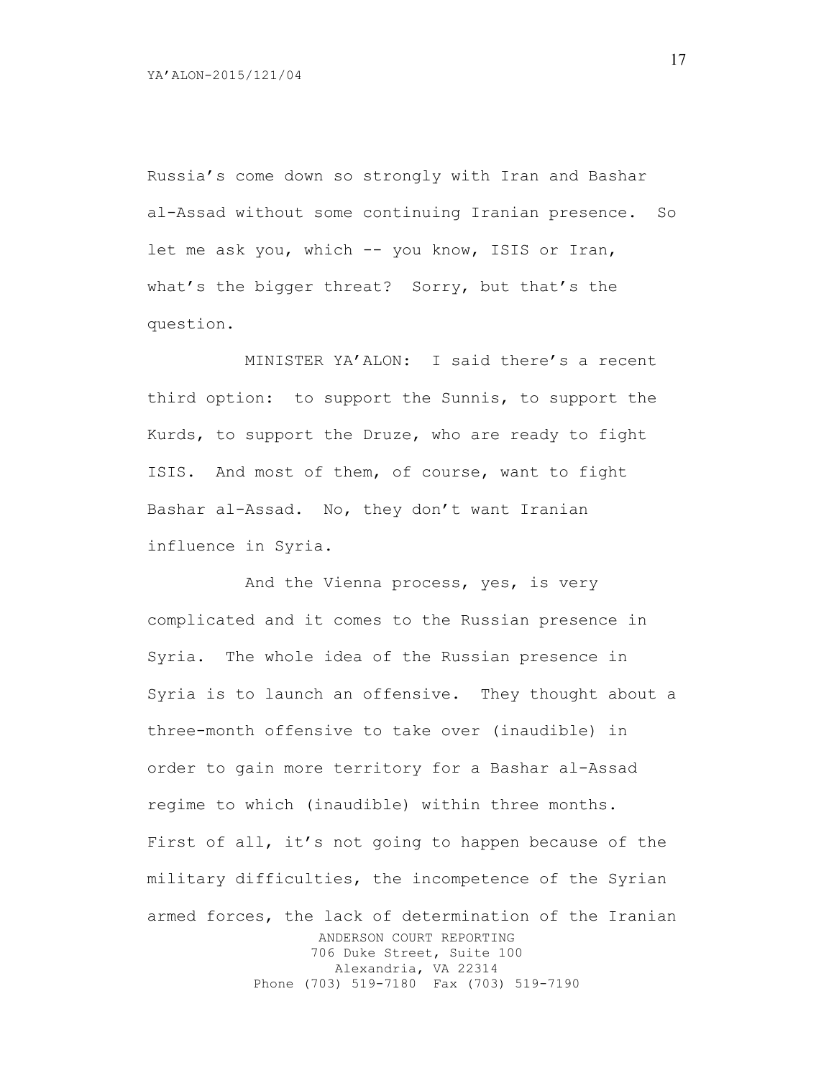Russia's come down so strongly with Iran and Bashar al-Assad without some continuing Iranian presence. So let me ask you, which -- you know, ISIS or Iran, what's the bigger threat? Sorry, but that's the question.

MINISTER YA'ALON: I said there's a recent third option: to support the Sunnis, to support the Kurds, to support the Druze, who are ready to fight ISIS. And most of them, of course, want to fight Bashar al-Assad. No, they don't want Iranian influence in Syria.

ANDERSON COURT REPORTING 706 Duke Street, Suite 100 Alexandria, VA 22314 Phone (703) 519-7180 Fax (703) 519-7190 And the Vienna process, yes, is very complicated and it comes to the Russian presence in Syria. The whole idea of the Russian presence in Syria is to launch an offensive. They thought about a three-month offensive to take over (inaudible) in order to gain more territory for a Bashar al-Assad regime to which (inaudible) within three months. First of all, it's not going to happen because of the military difficulties, the incompetence of the Syrian armed forces, the lack of determination of the Iranian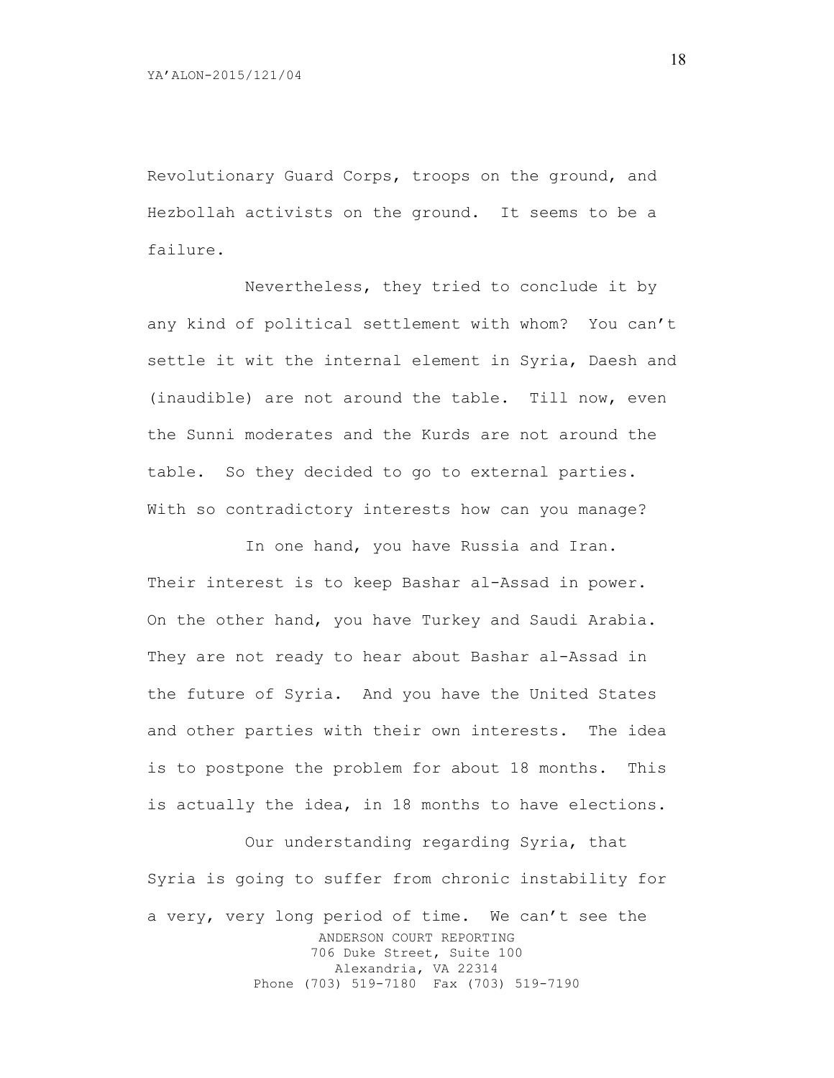Revolutionary Guard Corps, troops on the ground, and Hezbollah activists on the ground. It seems to be a failure.

Nevertheless, they tried to conclude it by any kind of political settlement with whom? You can't settle it wit the internal element in Syria, Daesh and (inaudible) are not around the table. Till now, even the Sunni moderates and the Kurds are not around the table. So they decided to go to external parties. With so contradictory interests how can you manage?

In one hand, you have Russia and Iran. Their interest is to keep Bashar al-Assad in power. On the other hand, you have Turkey and Saudi Arabia. They are not ready to hear about Bashar al-Assad in the future of Syria. And you have the United States and other parties with their own interests. The idea is to postpone the problem for about 18 months. This is actually the idea, in 18 months to have elections.

ANDERSON COURT REPORTING 706 Duke Street, Suite 100 Alexandria, VA 22314 Phone (703) 519-7180 Fax (703) 519-7190 Our understanding regarding Syria, that Syria is going to suffer from chronic instability for a very, very long period of time. We can't see the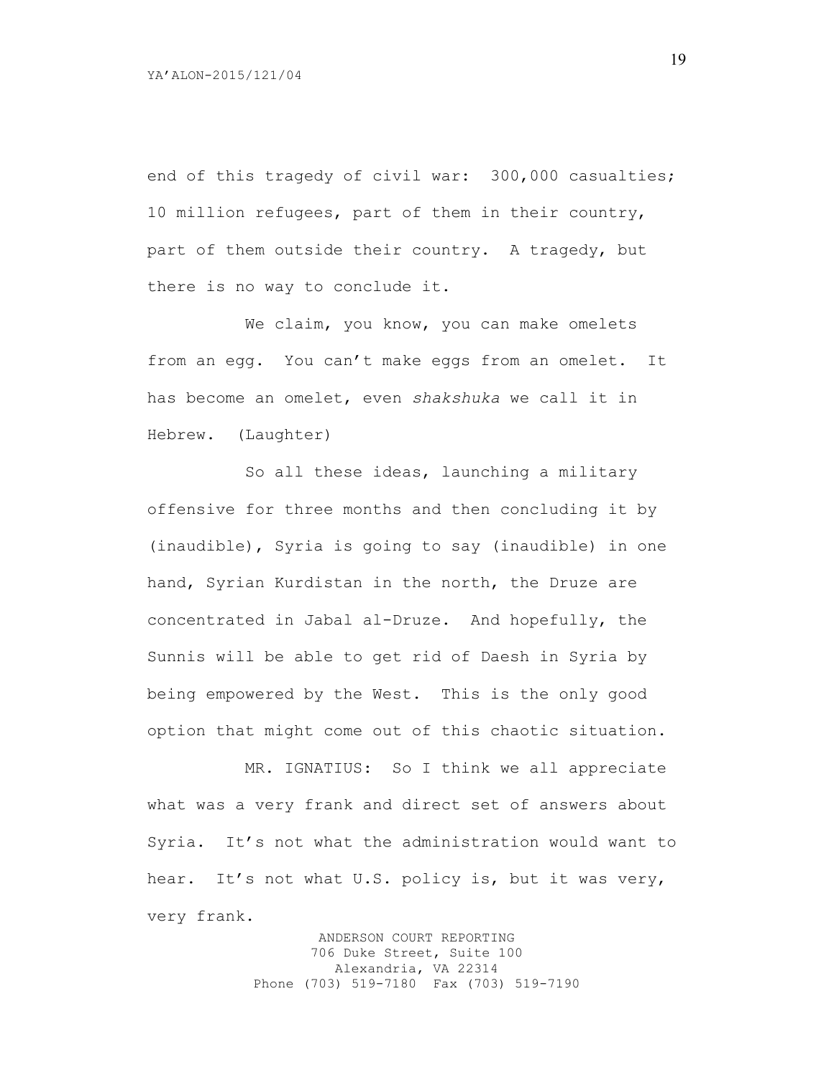end of this tragedy of civil war: 300,000 casualties; 10 million refugees, part of them in their country, part of them outside their country. A tragedy, but there is no way to conclude it.

We claim, you know, you can make omelets from an egg. You can't make eggs from an omelet. It has become an omelet, even *shakshuka* we call it in Hebrew. (Laughter)

So all these ideas, launching a military offensive for three months and then concluding it by (inaudible), Syria is going to say (inaudible) in one hand, Syrian Kurdistan in the north, the Druze are concentrated in Jabal al-Druze. And hopefully, the Sunnis will be able to get rid of Daesh in Syria by being empowered by the West. This is the only good option that might come out of this chaotic situation.

MR. IGNATIUS: So I think we all appreciate what was a very frank and direct set of answers about Syria. It's not what the administration would want to hear. It's not what U.S. policy is, but it was very, very frank.

> ANDERSON COURT REPORTING 706 Duke Street, Suite 100 Alexandria, VA 22314 Phone (703) 519-7180 Fax (703) 519-7190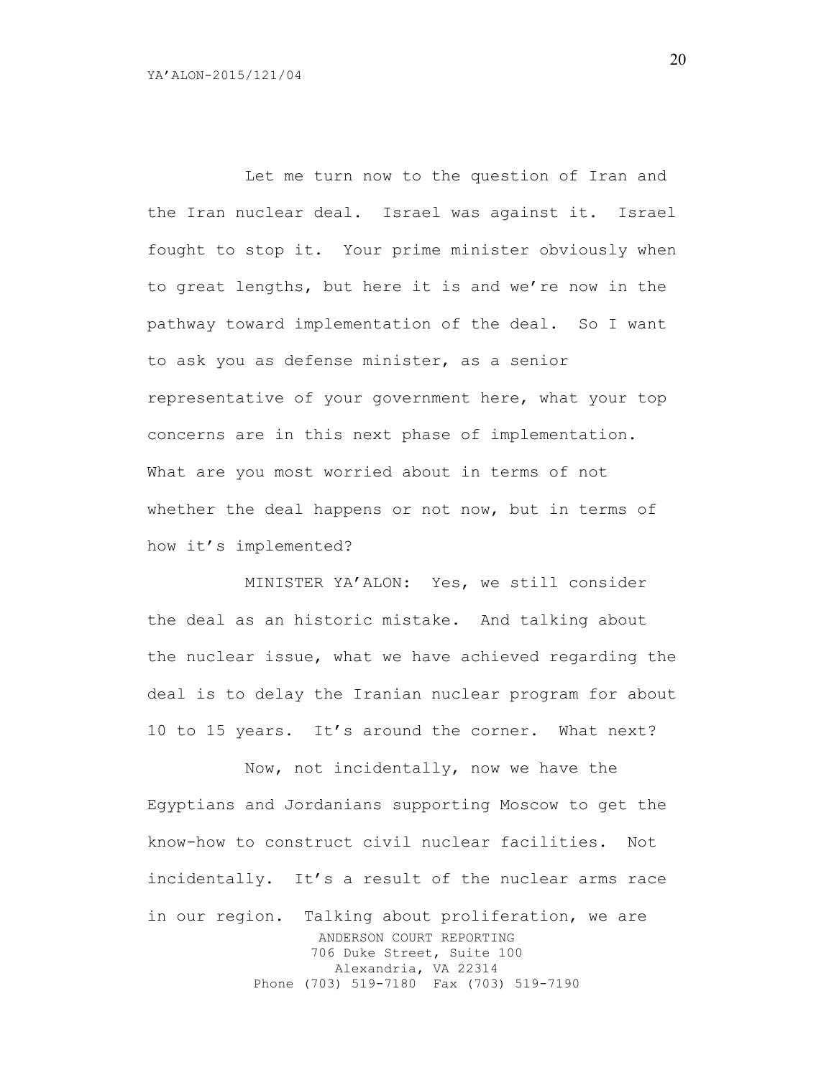Let me turn now to the question of Iran and the Iran nuclear deal. Israel was against it. Israel fought to stop it. Your prime minister obviously when to great lengths, but here it is and we're now in the pathway toward implementation of the deal. So I want to ask you as defense minister, as a senior representative of your government here, what your top concerns are in this next phase of implementation. What are you most worried about in terms of not whether the deal happens or not now, but in terms of how it's implemented?

MINISTER YA'ALON: Yes, we still consider the deal as an historic mistake. And talking about the nuclear issue, what we have achieved regarding the deal is to delay the Iranian nuclear program for about 10 to 15 years. It's around the corner. What next?

ANDERSON COURT REPORTING 706 Duke Street, Suite 100 Alexandria, VA 22314 Phone (703) 519-7180 Fax (703) 519-7190 Now, not incidentally, now we have the Egyptians and Jordanians supporting Moscow to get the know-how to construct civil nuclear facilities. Not incidentally. It's a result of the nuclear arms race in our region. Talking about proliferation, we are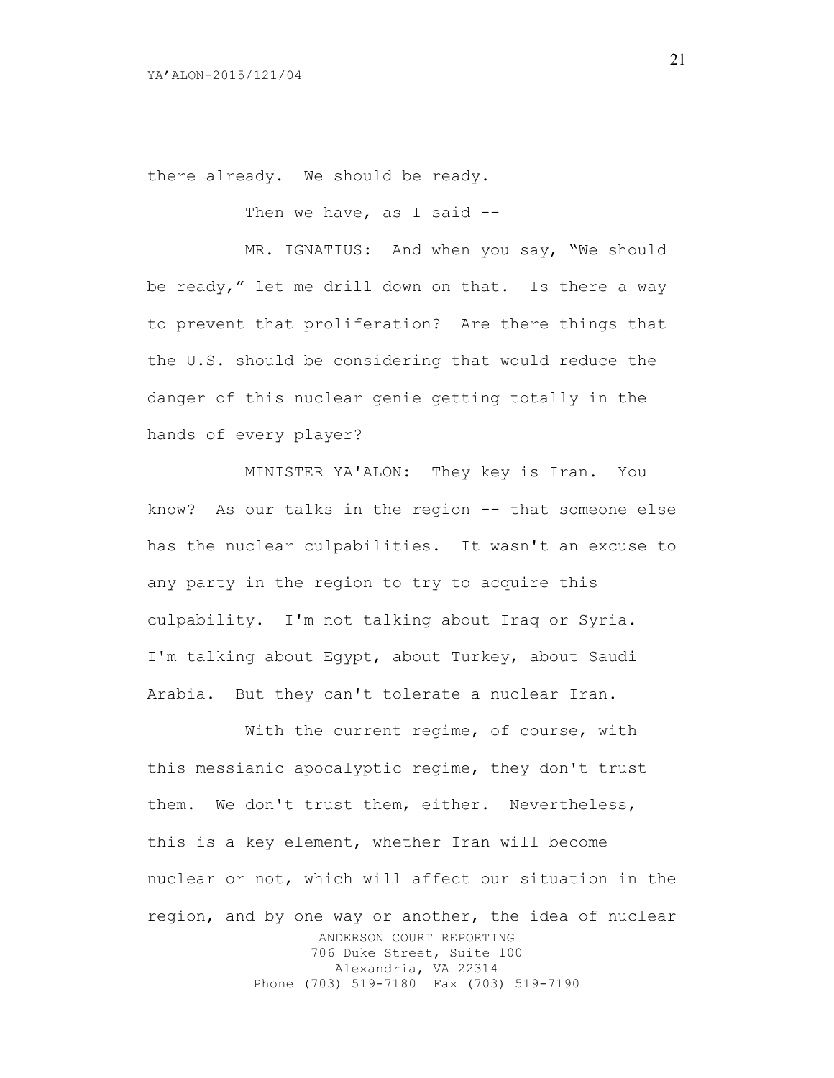there already. We should be ready.

Then we have, as I said --

MR. IGNATIUS: And when you say, "We should be ready," let me drill down on that. Is there a way to prevent that proliferation? Are there things that the U.S. should be considering that would reduce the danger of this nuclear genie getting totally in the hands of every player?

MINISTER YA'ALON: They key is Iran. You know? As our talks in the region -- that someone else has the nuclear culpabilities. It wasn't an excuse to any party in the region to try to acquire this culpability. I'm not talking about Iraq or Syria. I'm talking about Egypt, about Turkey, about Saudi Arabia. But they can't tolerate a nuclear Iran.

ANDERSON COURT REPORTING 706 Duke Street, Suite 100 Alexandria, VA 22314 Phone (703) 519-7180 Fax (703) 519-7190 With the current regime, of course, with this messianic apocalyptic regime, they don't trust them. We don't trust them, either. Nevertheless, this is a key element, whether Iran will become nuclear or not, which will affect our situation in the region, and by one way or another, the idea of nuclear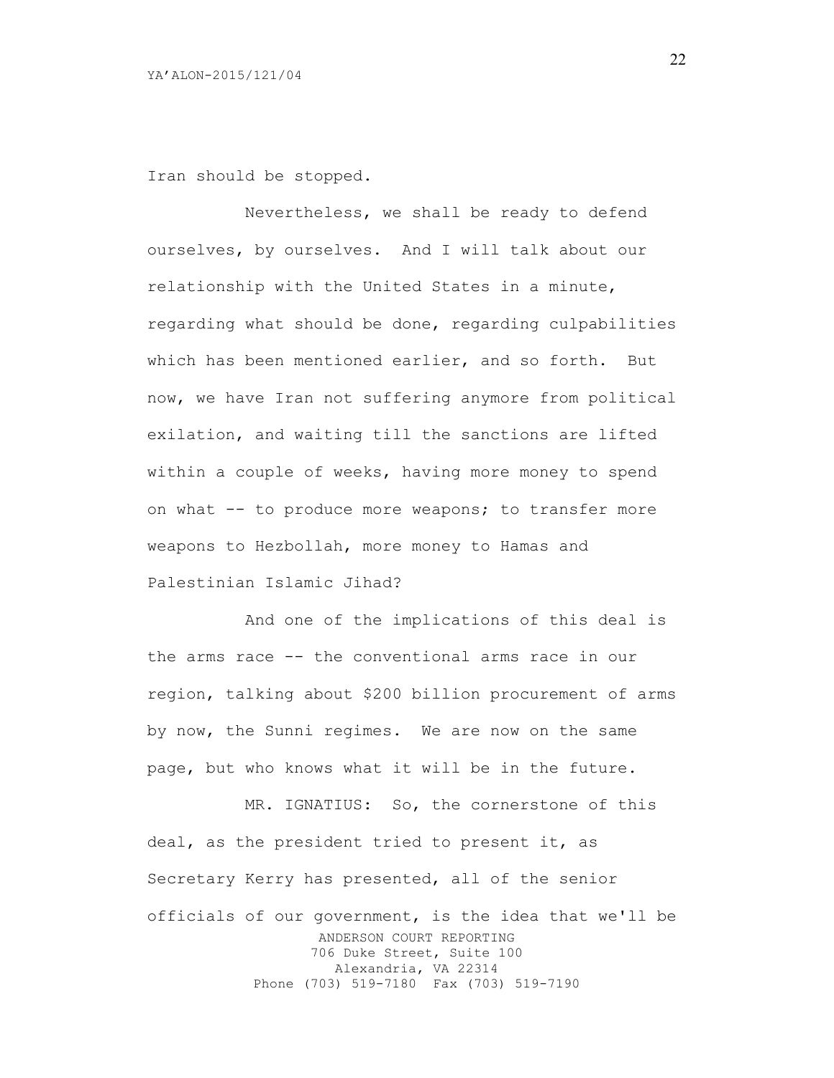Iran should be stopped.

Nevertheless, we shall be ready to defend ourselves, by ourselves. And I will talk about our relationship with the United States in a minute, regarding what should be done, regarding culpabilities which has been mentioned earlier, and so forth. But now, we have Iran not suffering anymore from political exilation, and waiting till the sanctions are lifted within a couple of weeks, having more money to spend on what -- to produce more weapons; to transfer more weapons to Hezbollah, more money to Hamas and Palestinian Islamic Jihad?

And one of the implications of this deal is the arms race -- the conventional arms race in our region, talking about \$200 billion procurement of arms by now, the Sunni regimes. We are now on the same page, but who knows what it will be in the future.

ANDERSON COURT REPORTING 706 Duke Street, Suite 100 Alexandria, VA 22314 Phone (703) 519-7180 Fax (703) 519-7190 MR. IGNATIUS: So, the cornerstone of this deal, as the president tried to present it, as Secretary Kerry has presented, all of the senior officials of our government, is the idea that we'll be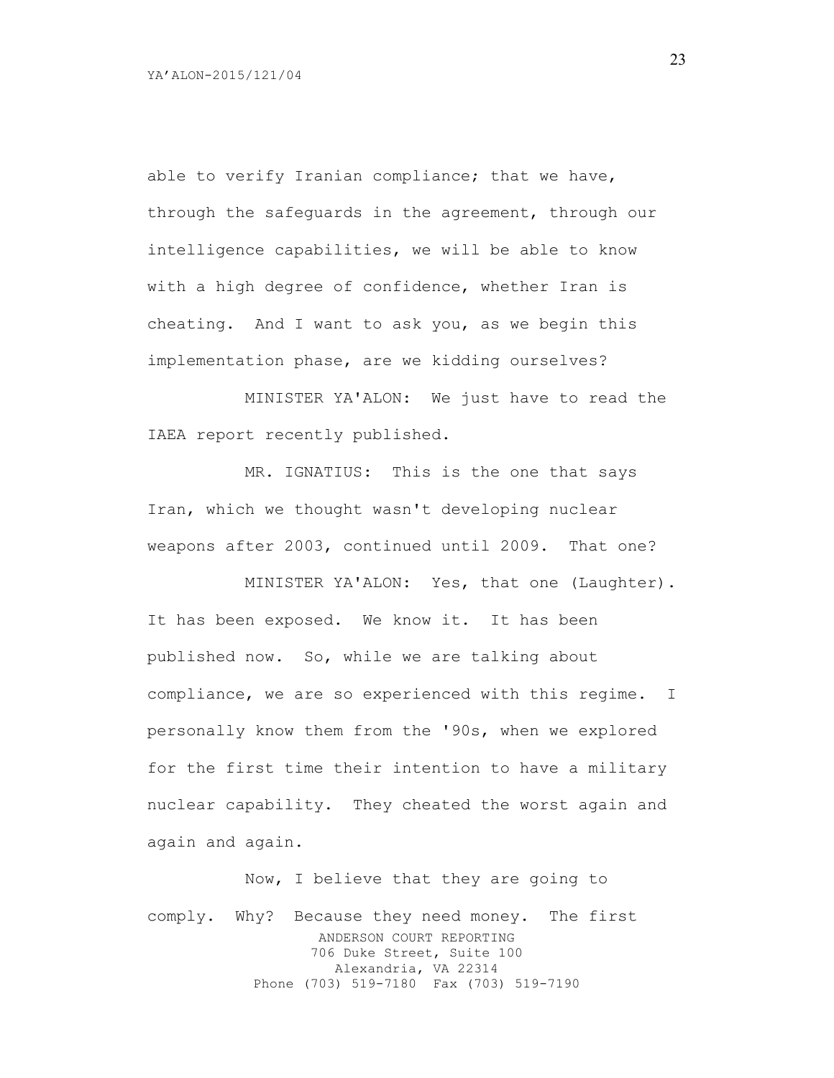able to verify Iranian compliance; that we have, through the safeguards in the agreement, through our intelligence capabilities, we will be able to know with a high degree of confidence, whether Iran is cheating. And I want to ask you, as we begin this implementation phase, are we kidding ourselves?

MINISTER YA'ALON: We just have to read the IAEA report recently published.

MR. IGNATIUS: This is the one that says Iran, which we thought wasn't developing nuclear weapons after 2003, continued until 2009. That one?

MINISTER YA'ALON: Yes, that one (Laughter). It has been exposed. We know it. It has been published now. So, while we are talking about compliance, we are so experienced with this regime. I personally know them from the '90s, when we explored for the first time their intention to have a military nuclear capability. They cheated the worst again and again and again.

ANDERSON COURT REPORTING 706 Duke Street, Suite 100 Alexandria, VA 22314 Phone (703) 519-7180 Fax (703) 519-7190 Now, I believe that they are going to comply. Why? Because they need money. The first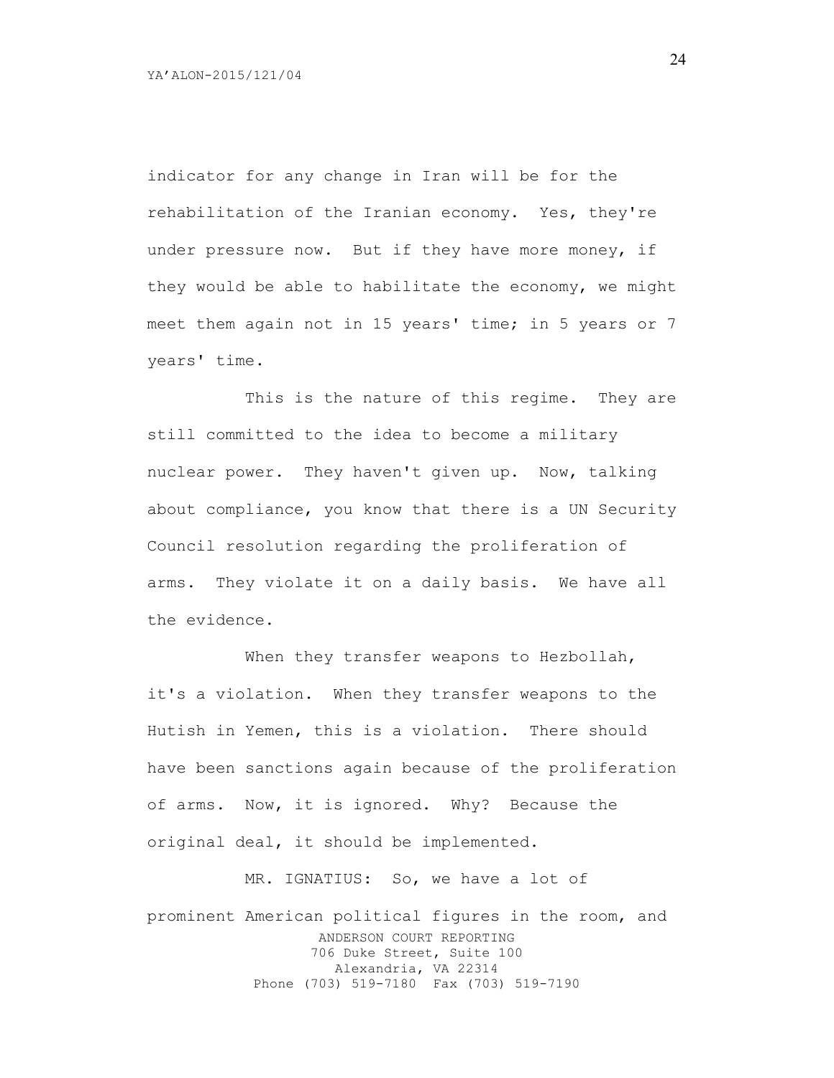indicator for any change in Iran will be for the rehabilitation of the Iranian economy. Yes, they're under pressure now. But if they have more money, if they would be able to habilitate the economy, we might meet them again not in 15 years' time; in 5 years or 7 years' time.

This is the nature of this regime. They are still committed to the idea to become a military nuclear power. They haven't given up. Now, talking about compliance, you know that there is a UN Security Council resolution regarding the proliferation of arms. They violate it on a daily basis. We have all the evidence.

When they transfer weapons to Hezbollah, it's a violation. When they transfer weapons to the Hutish in Yemen, this is a violation. There should have been sanctions again because of the proliferation of arms. Now, it is ignored. Why? Because the original deal, it should be implemented.

ANDERSON COURT REPORTING 706 Duke Street, Suite 100 Alexandria, VA 22314 Phone (703) 519-7180 Fax (703) 519-7190 MR. IGNATIUS: So, we have a lot of prominent American political figures in the room, and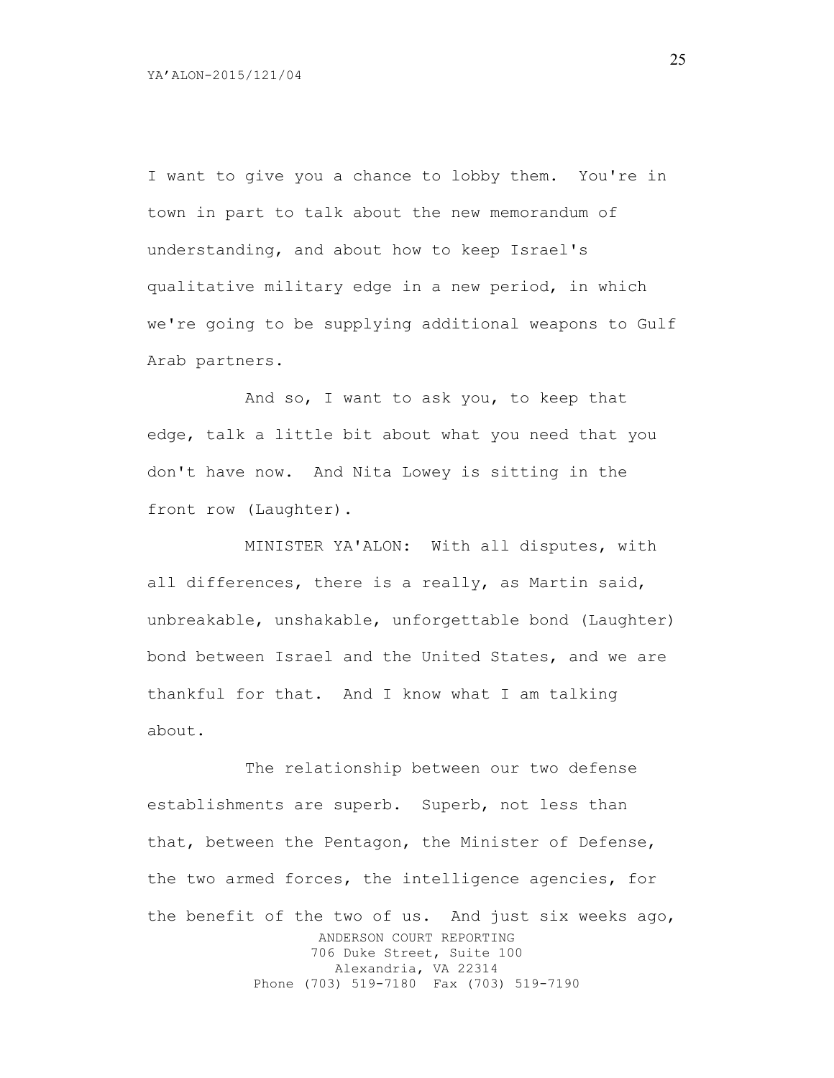I want to give you a chance to lobby them. You're in town in part to talk about the new memorandum of understanding, and about how to keep Israel's qualitative military edge in a new period, in which we're going to be supplying additional weapons to Gulf Arab partners.

And so, I want to ask you, to keep that edge, talk a little bit about what you need that you don't have now. And Nita Lowey is sitting in the front row (Laughter).

MINISTER YA'ALON: With all disputes, with all differences, there is a really, as Martin said, unbreakable, unshakable, unforgettable bond (Laughter) bond between Israel and the United States, and we are thankful for that. And I know what I am talking about.

ANDERSON COURT REPORTING 706 Duke Street, Suite 100 Alexandria, VA 22314 Phone (703) 519-7180 Fax (703) 519-7190 The relationship between our two defense establishments are superb. Superb, not less than that, between the Pentagon, the Minister of Defense, the two armed forces, the intelligence agencies, for the benefit of the two of us. And just six weeks ago,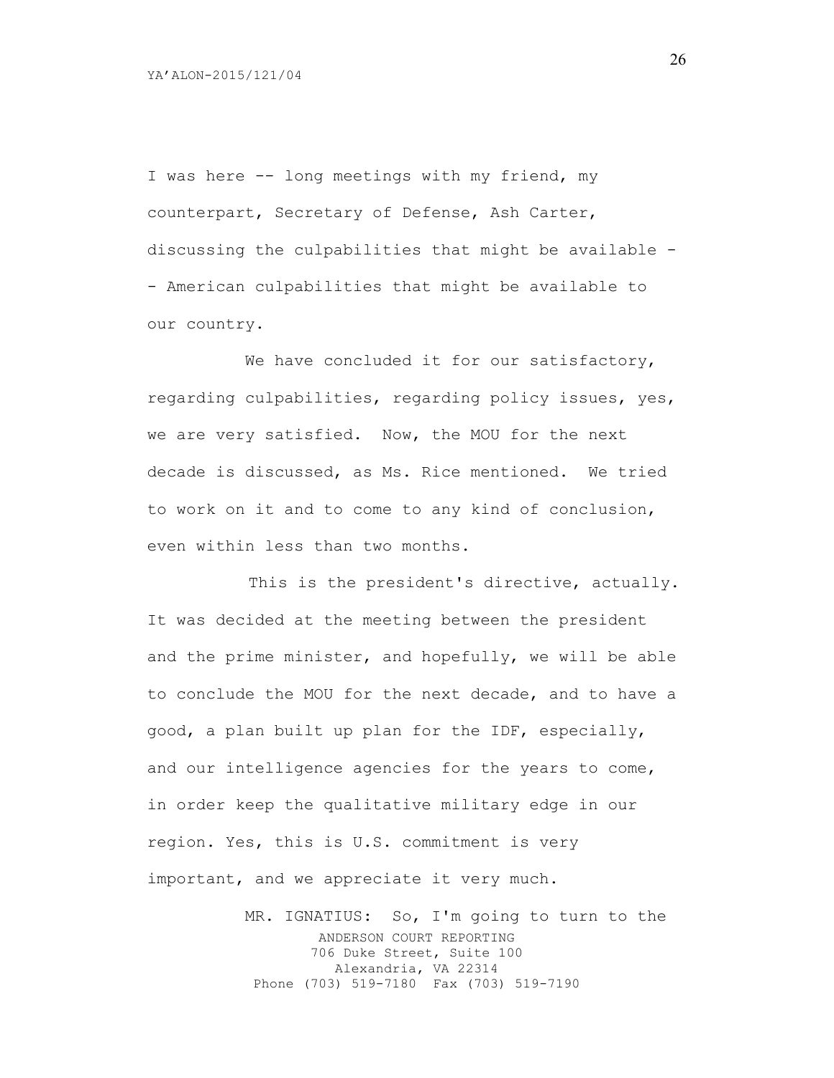I was here -- long meetings with my friend, my counterpart, Secretary of Defense, Ash Carter, discussing the culpabilities that might be available - - American culpabilities that might be available to our country.

We have concluded it for our satisfactory, regarding culpabilities, regarding policy issues, yes, we are very satisfied. Now, the MOU for the next decade is discussed, as Ms. Rice mentioned. We tried to work on it and to come to any kind of conclusion, even within less than two months.

 This is the president's directive, actually. It was decided at the meeting between the president and the prime minister, and hopefully, we will be able to conclude the MOU for the next decade, and to have a good, a plan built up plan for the IDF, especially, and our intelligence agencies for the years to come, in order keep the qualitative military edge in our region. Yes, this is U.S. commitment is very important, and we appreciate it very much.

> ANDERSON COURT REPORTING 706 Duke Street, Suite 100 Alexandria, VA 22314 Phone (703) 519-7180 Fax (703) 519-7190 MR. IGNATIUS: So, I'm going to turn to the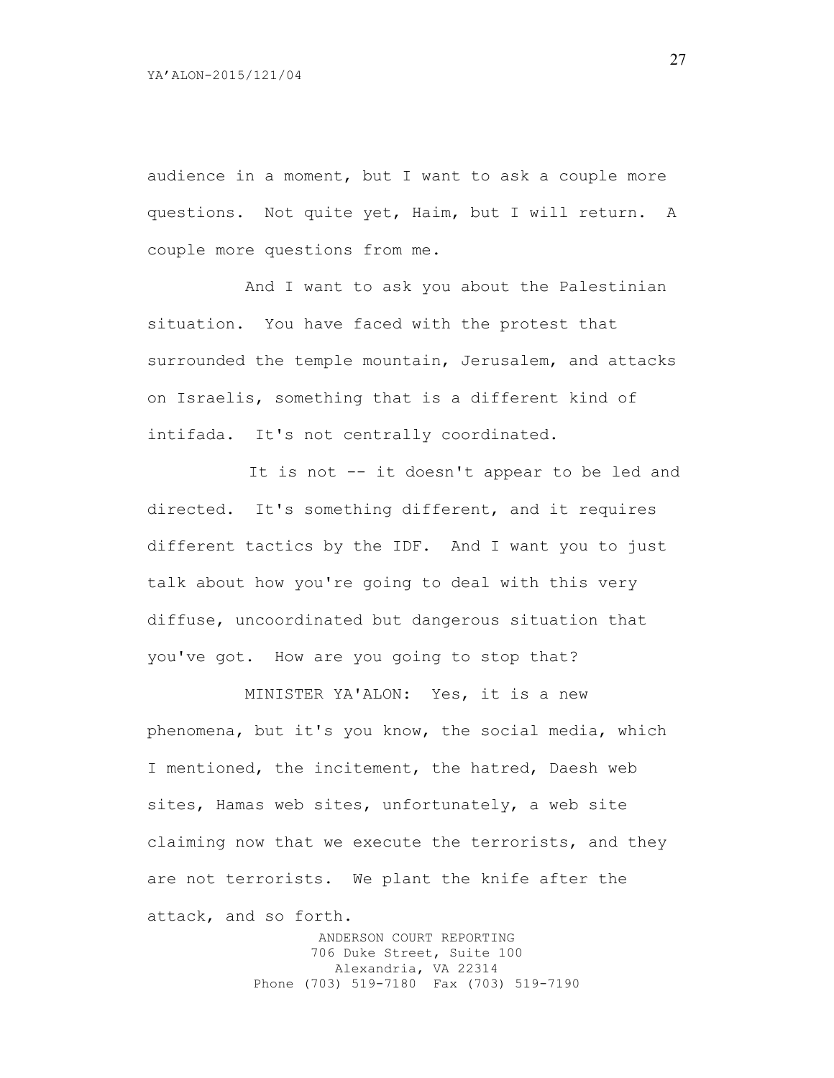audience in a moment, but I want to ask a couple more questions. Not quite yet, Haim, but I will return. A couple more questions from me.

And I want to ask you about the Palestinian situation. You have faced with the protest that surrounded the temple mountain, Jerusalem, and attacks on Israelis, something that is a different kind of intifada. It's not centrally coordinated.

 It is not -- it doesn't appear to be led and directed. It's something different, and it requires different tactics by the IDF. And I want you to just talk about how you're going to deal with this very diffuse, uncoordinated but dangerous situation that you've got. How are you going to stop that?

MINISTER YA'ALON: Yes, it is a new phenomena, but it's you know, the social media, which I mentioned, the incitement, the hatred, Daesh web sites, Hamas web sites, unfortunately, a web site claiming now that we execute the terrorists, and they are not terrorists. We plant the knife after the attack, and so forth.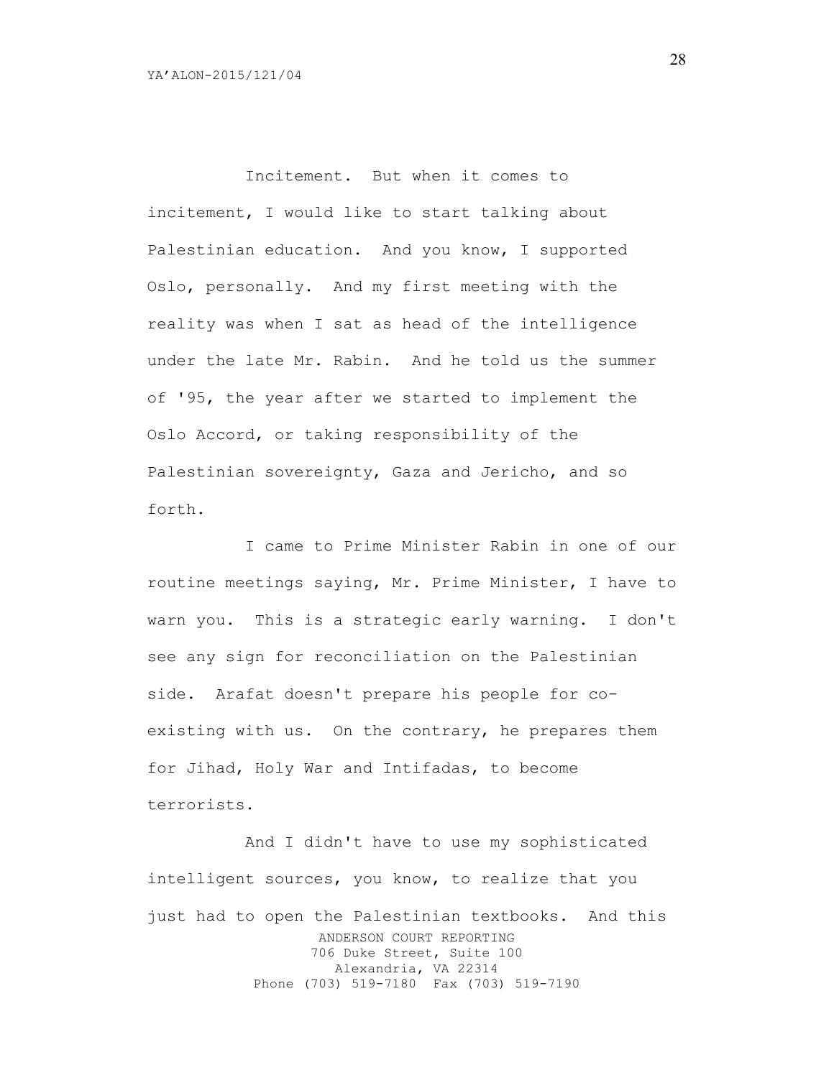Incitement. But when it comes to incitement, I would like to start talking about Palestinian education. And you know, I supported Oslo, personally. And my first meeting with the reality was when I sat as head of the intelligence under the late Mr. Rabin. And he told us the summer of '95, the year after we started to implement the Oslo Accord, or taking responsibility of the Palestinian sovereignty, Gaza and Jericho, and so forth.

I came to Prime Minister Rabin in one of our routine meetings saying, Mr. Prime Minister, I have to warn you. This is a strategic early warning. I don't see any sign for reconciliation on the Palestinian side. Arafat doesn't prepare his people for coexisting with us. On the contrary, he prepares them for Jihad, Holy War and Intifadas, to become terrorists.

ANDERSON COURT REPORTING 706 Duke Street, Suite 100 Alexandria, VA 22314 Phone (703) 519-7180 Fax (703) 519-7190 And I didn't have to use my sophisticated intelligent sources, you know, to realize that you just had to open the Palestinian textbooks. And this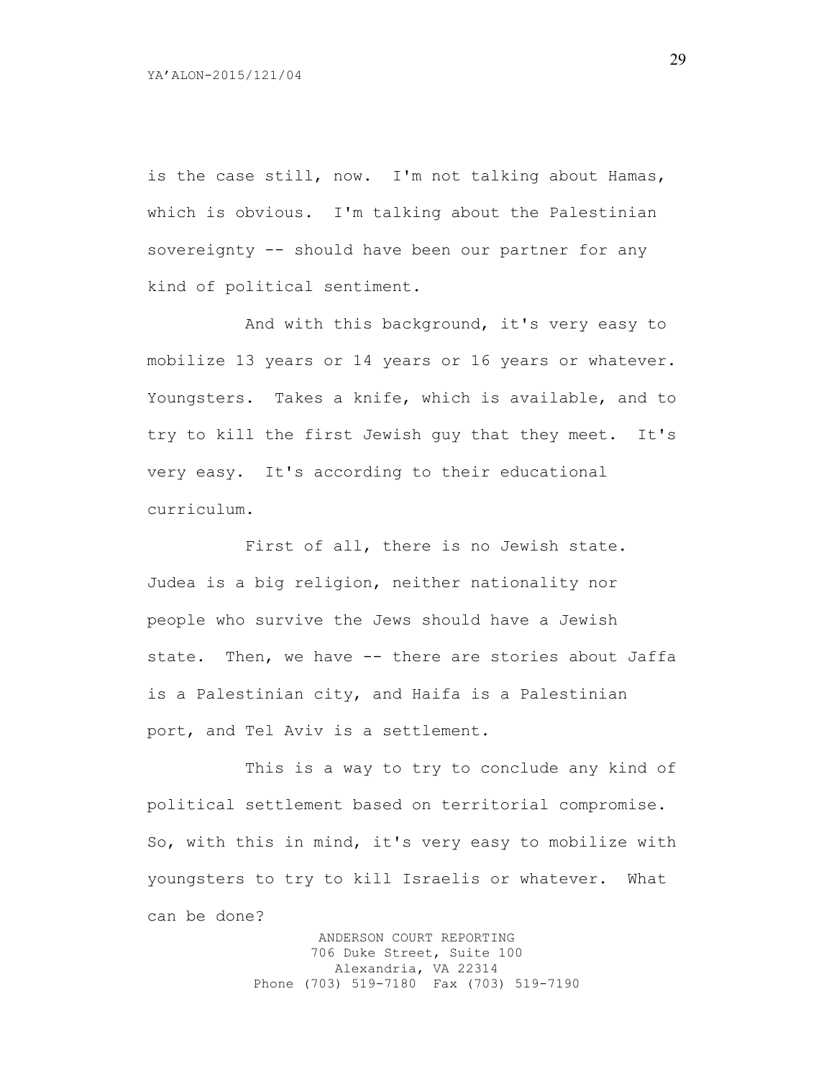is the case still, now. I'm not talking about Hamas, which is obvious. I'm talking about the Palestinian sovereignty -- should have been our partner for any kind of political sentiment.

And with this background, it's very easy to mobilize 13 years or 14 years or 16 years or whatever. Youngsters. Takes a knife, which is available, and to try to kill the first Jewish guy that they meet. It's very easy. It's according to their educational curriculum.

First of all, there is no Jewish state. Judea is a big religion, neither nationality nor people who survive the Jews should have a Jewish state. Then, we have -- there are stories about Jaffa is a Palestinian city, and Haifa is a Palestinian port, and Tel Aviv is a settlement.

This is a way to try to conclude any kind of political settlement based on territorial compromise. So, with this in mind, it's very easy to mobilize with youngsters to try to kill Israelis or whatever. What can be done?

> ANDERSON COURT REPORTING 706 Duke Street, Suite 100 Alexandria, VA 22314 Phone (703) 519-7180 Fax (703) 519-7190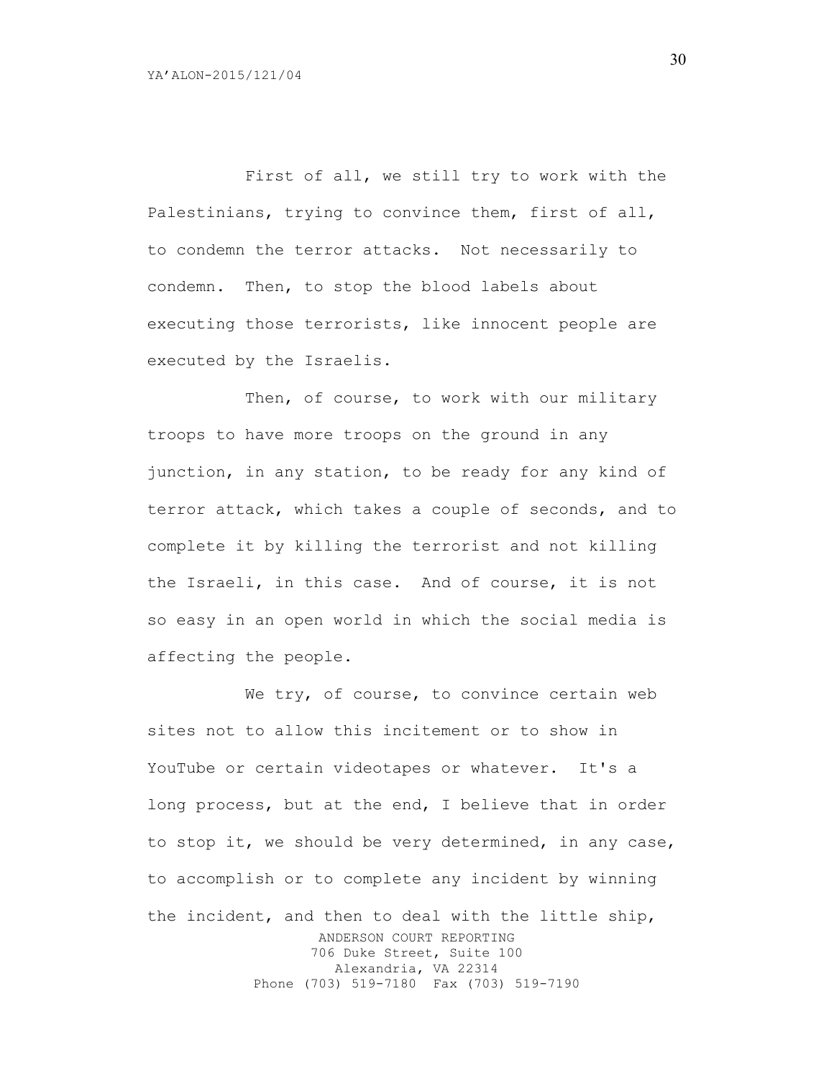First of all, we still try to work with the Palestinians, trying to convince them, first of all, to condemn the terror attacks. Not necessarily to condemn. Then, to stop the blood labels about executing those terrorists, like innocent people are executed by the Israelis.

Then, of course, to work with our military troops to have more troops on the ground in any junction, in any station, to be ready for any kind of terror attack, which takes a couple of seconds, and to complete it by killing the terrorist and not killing the Israeli, in this case. And of course, it is not so easy in an open world in which the social media is affecting the people.

ANDERSON COURT REPORTING 706 Duke Street, Suite 100 Alexandria, VA 22314 Phone (703) 519-7180 Fax (703) 519-7190 We try, of course, to convince certain web sites not to allow this incitement or to show in YouTube or certain videotapes or whatever. It's a long process, but at the end, I believe that in order to stop it, we should be very determined, in any case, to accomplish or to complete any incident by winning the incident, and then to deal with the little ship,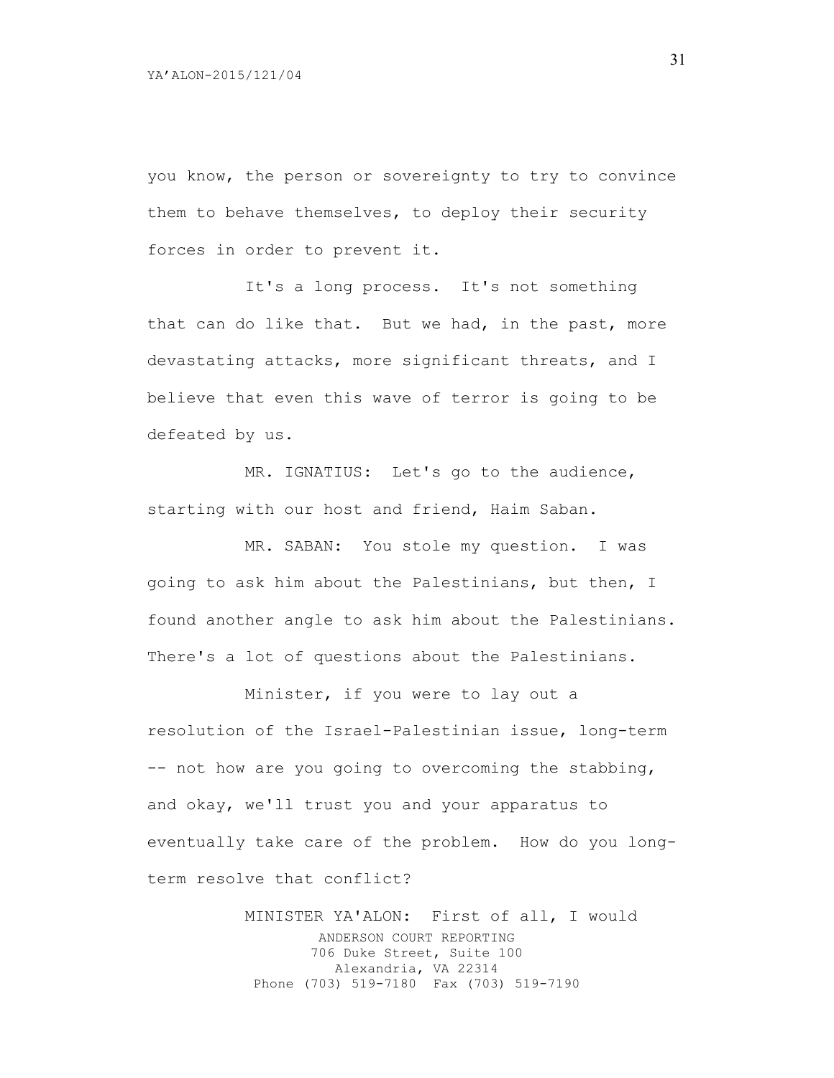you know, the person or sovereignty to try to convince them to behave themselves, to deploy their security forces in order to prevent it.

It's a long process. It's not something that can do like that. But we had, in the past, more devastating attacks, more significant threats, and I believe that even this wave of terror is going to be defeated by us.

MR. IGNATIUS: Let's go to the audience, starting with our host and friend, Haim Saban.

MR. SABAN: You stole my question. I was going to ask him about the Palestinians, but then, I found another angle to ask him about the Palestinians. There's a lot of questions about the Palestinians.

Minister, if you were to lay out a resolution of the Israel-Palestinian issue, long-term -- not how are you going to overcoming the stabbing, and okay, we'll trust you and your apparatus to eventually take care of the problem. How do you longterm resolve that conflict?

> ANDERSON COURT REPORTING 706 Duke Street, Suite 100 Alexandria, VA 22314 Phone (703) 519-7180 Fax (703) 519-7190 MINISTER YA'ALON: First of all, I would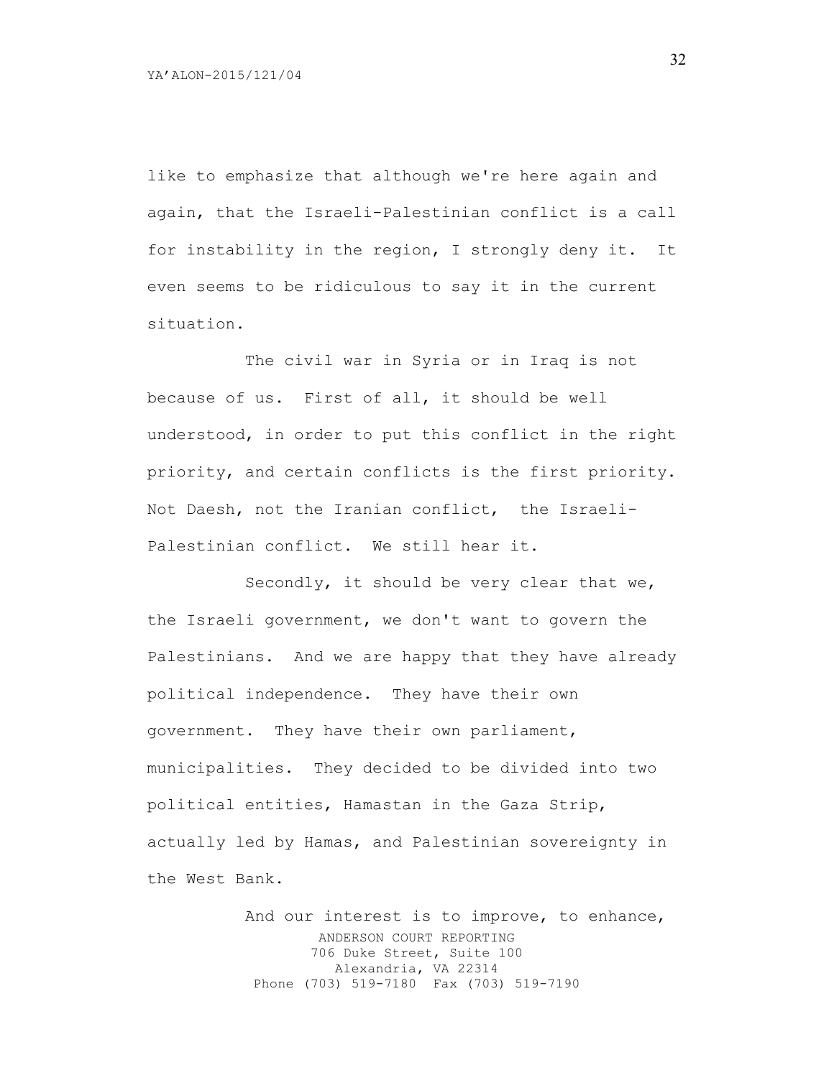like to emphasize that although we're here again and again, that the Israeli-Palestinian conflict is a call for instability in the region, I strongly deny it. It even seems to be ridiculous to say it in the current situation.

The civil war in Syria or in Iraq is not because of us. First of all, it should be well understood, in order to put this conflict in the right priority, and certain conflicts is the first priority. Not Daesh, not the Iranian conflict, the Israeli-Palestinian conflict. We still hear it.

Secondly, it should be very clear that we, the Israeli government, we don't want to govern the Palestinians. And we are happy that they have already political independence. They have their own government. They have their own parliament, municipalities. They decided to be divided into two political entities, Hamastan in the Gaza Strip, actually led by Hamas, and Palestinian sovereignty in the West Bank.

> ANDERSON COURT REPORTING 706 Duke Street, Suite 100 Alexandria, VA 22314 Phone (703) 519-7180 Fax (703) 519-7190 And our interest is to improve, to enhance,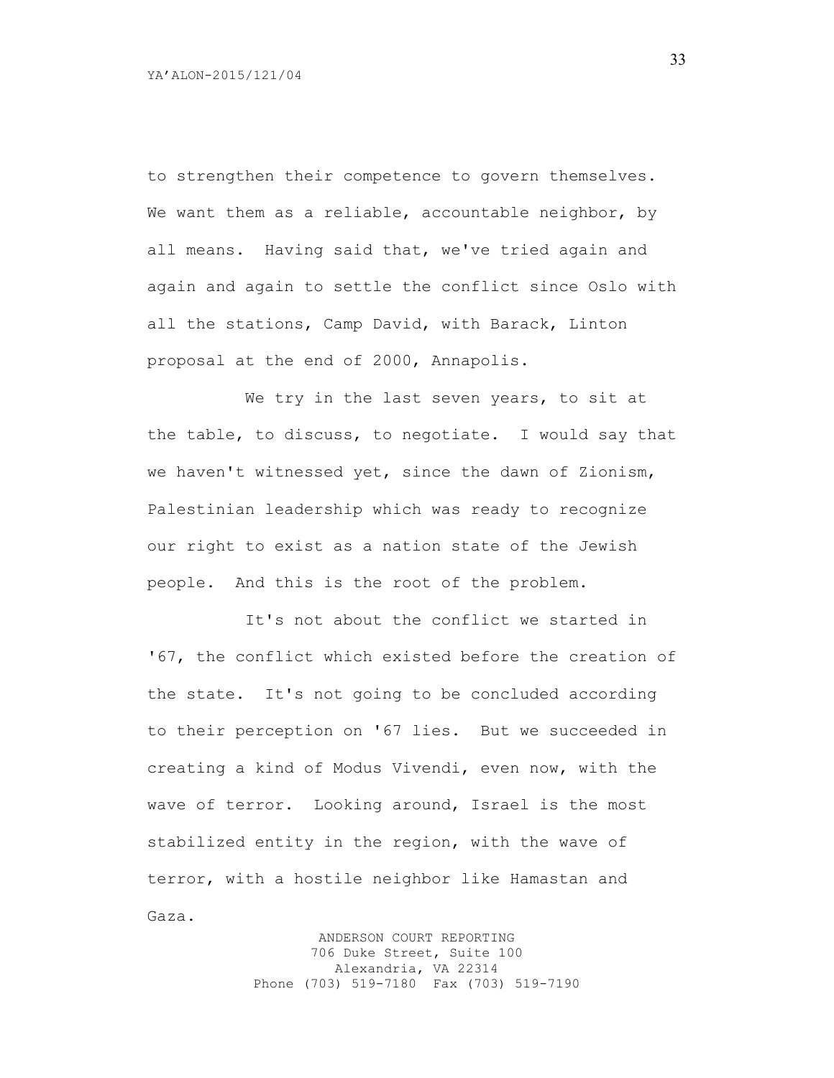to strengthen their competence to govern themselves. We want them as a reliable, accountable neighbor, by all means. Having said that, we've tried again and again and again to settle the conflict since Oslo with all the stations, Camp David, with Barack, Linton proposal at the end of 2000, Annapolis.

We try in the last seven years, to sit at the table, to discuss, to negotiate. I would say that we haven't witnessed yet, since the dawn of Zionism, Palestinian leadership which was ready to recognize our right to exist as a nation state of the Jewish people. And this is the root of the problem.

It's not about the conflict we started in '67, the conflict which existed before the creation of the state. It's not going to be concluded according to their perception on '67 lies. But we succeeded in creating a kind of Modus Vivendi, even now, with the wave of terror. Looking around, Israel is the most stabilized entity in the region, with the wave of terror, with a hostile neighbor like Hamastan and Gaza.

> ANDERSON COURT REPORTING 706 Duke Street, Suite 100 Alexandria, VA 22314 Phone (703) 519-7180 Fax (703) 519-7190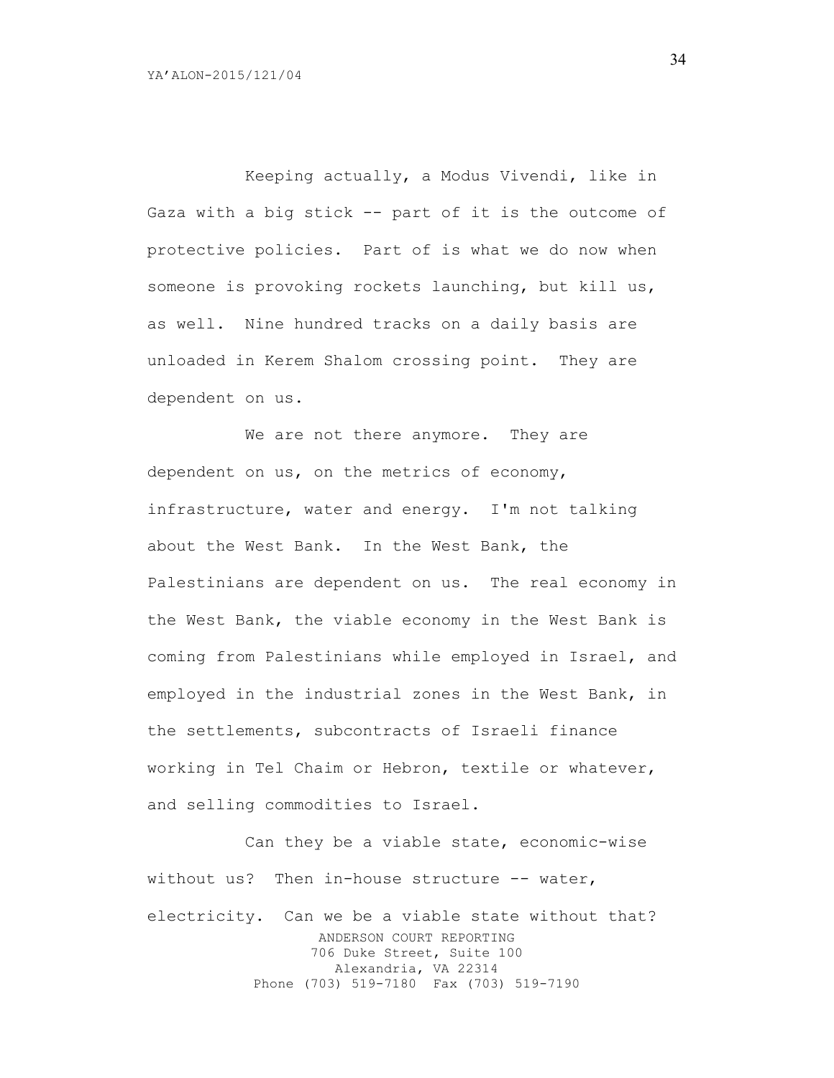Keeping actually, a Modus Vivendi, like in Gaza with a big stick -- part of it is the outcome of protective policies. Part of is what we do now when someone is provoking rockets launching, but kill us, as well. Nine hundred tracks on a daily basis are unloaded in Kerem Shalom crossing point. They are dependent on us.

We are not there anymore. They are dependent on us, on the metrics of economy, infrastructure, water and energy. I'm not talking about the West Bank. In the West Bank, the Palestinians are dependent on us. The real economy in the West Bank, the viable economy in the West Bank is coming from Palestinians while employed in Israel, and employed in the industrial zones in the West Bank, in the settlements, subcontracts of Israeli finance working in Tel Chaim or Hebron, textile or whatever, and selling commodities to Israel.

ANDERSON COURT REPORTING 706 Duke Street, Suite 100 Alexandria, VA 22314 Phone (703) 519-7180 Fax (703) 519-7190 Can they be a viable state, economic-wise without us? Then in-house structure -- water, electricity. Can we be a viable state without that?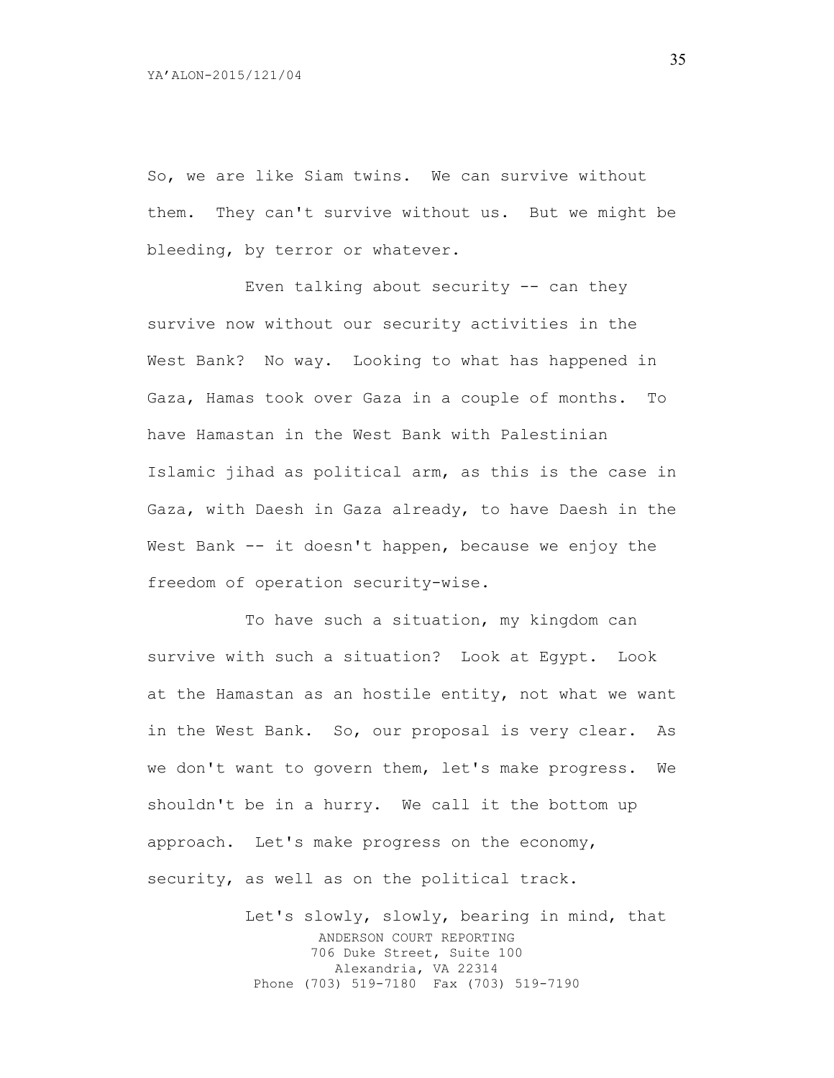So, we are like Siam twins. We can survive without them. They can't survive without us. But we might be bleeding, by terror or whatever.

Even talking about security -- can they survive now without our security activities in the West Bank? No way. Looking to what has happened in Gaza, Hamas took over Gaza in a couple of months. To have Hamastan in the West Bank with Palestinian Islamic jihad as political arm, as this is the case in Gaza, with Daesh in Gaza already, to have Daesh in the West Bank -- it doesn't happen, because we enjoy the freedom of operation security-wise.

To have such a situation, my kingdom can survive with such a situation? Look at Egypt. Look at the Hamastan as an hostile entity, not what we want in the West Bank. So, our proposal is very clear. As we don't want to govern them, let's make progress. We shouldn't be in a hurry. We call it the bottom up approach. Let's make progress on the economy, security, as well as on the political track.

> ANDERSON COURT REPORTING 706 Duke Street, Suite 100 Alexandria, VA 22314 Phone (703) 519-7180 Fax (703) 519-7190 Let's slowly, slowly, bearing in mind, that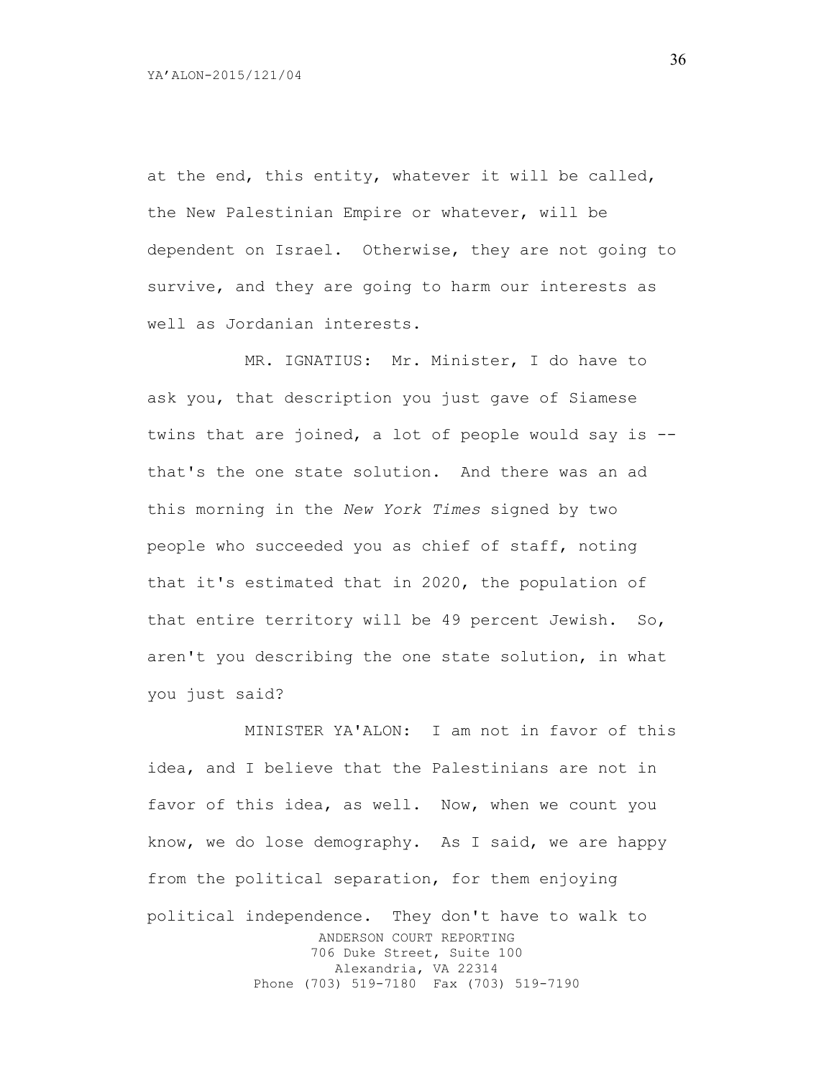at the end, this entity, whatever it will be called, the New Palestinian Empire or whatever, will be dependent on Israel. Otherwise, they are not going to survive, and they are going to harm our interests as well as Jordanian interests.

MR. IGNATIUS: Mr. Minister, I do have to ask you, that description you just gave of Siamese twins that are joined, a lot of people would say is - that's the one state solution. And there was an ad this morning in the *New York Times* signed by two people who succeeded you as chief of staff, noting that it's estimated that in 2020, the population of that entire territory will be 49 percent Jewish. So, aren't you describing the one state solution, in what you just said?

ANDERSON COURT REPORTING 706 Duke Street, Suite 100 Alexandria, VA 22314 Phone (703) 519-7180 Fax (703) 519-7190 MINISTER YA'ALON: I am not in favor of this idea, and I believe that the Palestinians are not in favor of this idea, as well. Now, when we count you know, we do lose demography. As I said, we are happy from the political separation, for them enjoying political independence. They don't have to walk to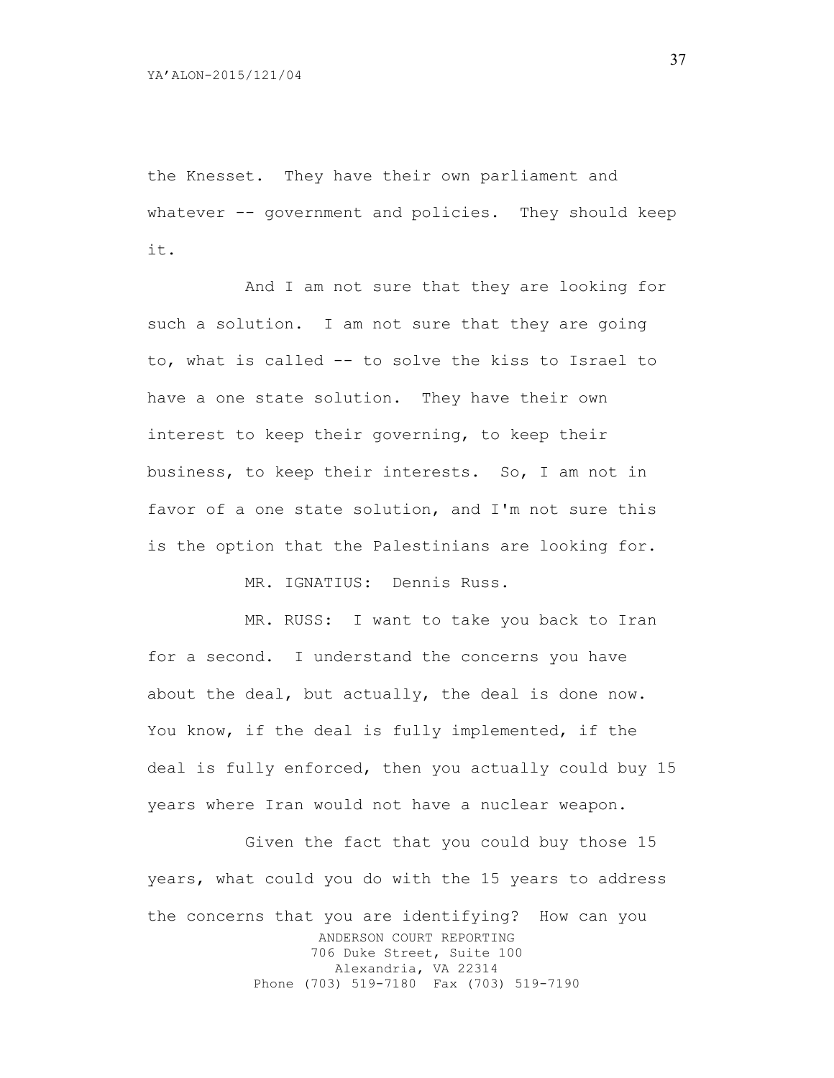the Knesset. They have their own parliament and whatever -- government and policies. They should keep it.

And I am not sure that they are looking for such a solution. I am not sure that they are going to, what is called -- to solve the kiss to Israel to have a one state solution. They have their own interest to keep their governing, to keep their business, to keep their interests. So, I am not in favor of a one state solution, and I'm not sure this is the option that the Palestinians are looking for.

MR. IGNATIUS: Dennis Russ.

MR. RUSS: I want to take you back to Iran for a second. I understand the concerns you have about the deal, but actually, the deal is done now. You know, if the deal is fully implemented, if the deal is fully enforced, then you actually could buy 15 years where Iran would not have a nuclear weapon.

ANDERSON COURT REPORTING 706 Duke Street, Suite 100 Alexandria, VA 22314 Phone (703) 519-7180 Fax (703) 519-7190 Given the fact that you could buy those 15 years, what could you do with the 15 years to address the concerns that you are identifying? How can you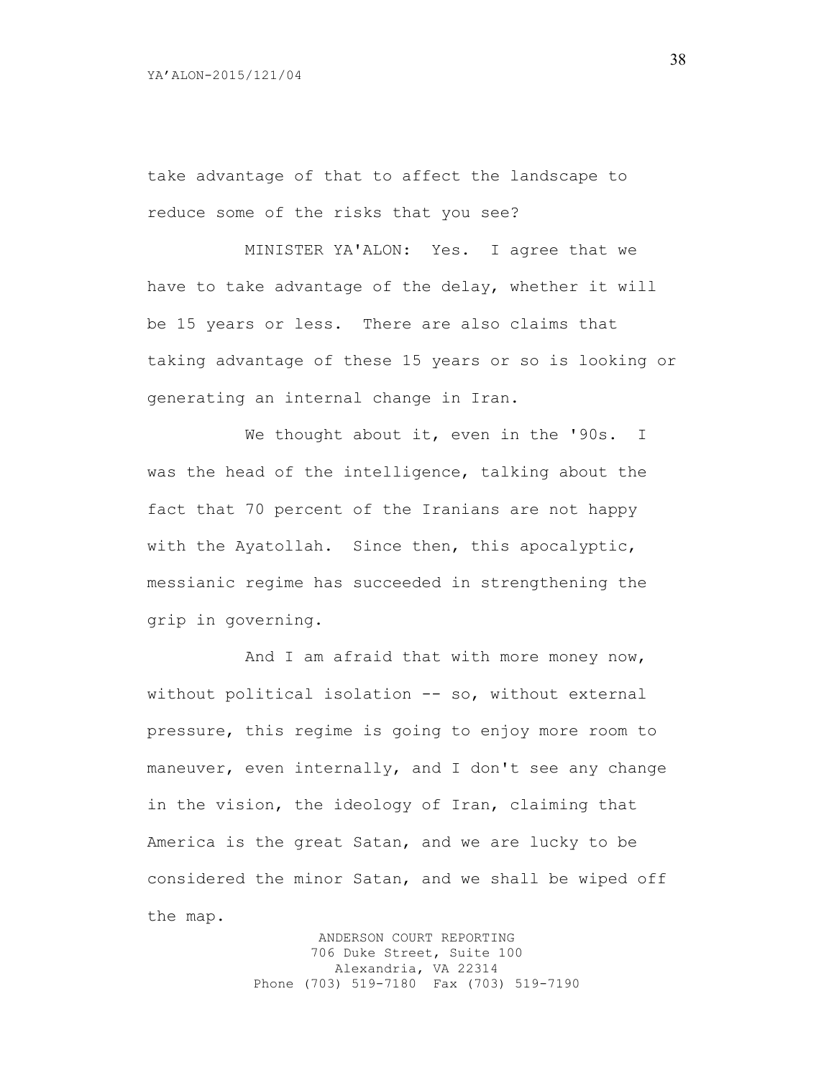take advantage of that to affect the landscape to reduce some of the risks that you see?

MINISTER YA'ALON: Yes. I agree that we have to take advantage of the delay, whether it will be 15 years or less. There are also claims that taking advantage of these 15 years or so is looking or generating an internal change in Iran.

We thought about it, even in the '90s. I was the head of the intelligence, talking about the fact that 70 percent of the Iranians are not happy with the Ayatollah. Since then, this apocalyptic, messianic regime has succeeded in strengthening the grip in governing.

And I am afraid that with more money now, without political isolation -- so, without external pressure, this regime is going to enjoy more room to maneuver, even internally, and I don't see any change in the vision, the ideology of Iran, claiming that America is the great Satan, and we are lucky to be considered the minor Satan, and we shall be wiped off the map.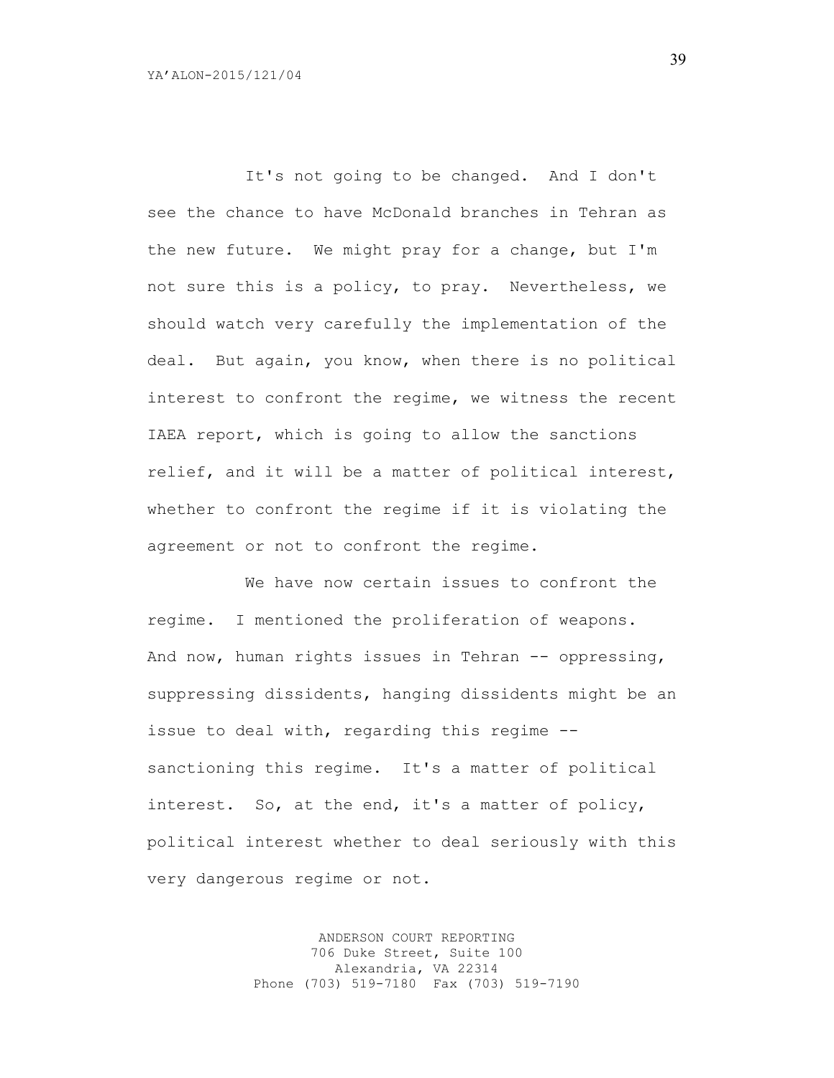It's not going to be changed. And I don't see the chance to have McDonald branches in Tehran as the new future. We might pray for a change, but I'm not sure this is a policy, to pray. Nevertheless, we should watch very carefully the implementation of the deal. But again, you know, when there is no political interest to confront the regime, we witness the recent IAEA report, which is going to allow the sanctions relief, and it will be a matter of political interest, whether to confront the regime if it is violating the agreement or not to confront the regime.

We have now certain issues to confront the regime. I mentioned the proliferation of weapons. And now, human rights issues in Tehran -- oppressing, suppressing dissidents, hanging dissidents might be an issue to deal with, regarding this regime - sanctioning this regime. It's a matter of political interest. So, at the end, it's a matter of policy, political interest whether to deal seriously with this very dangerous regime or not.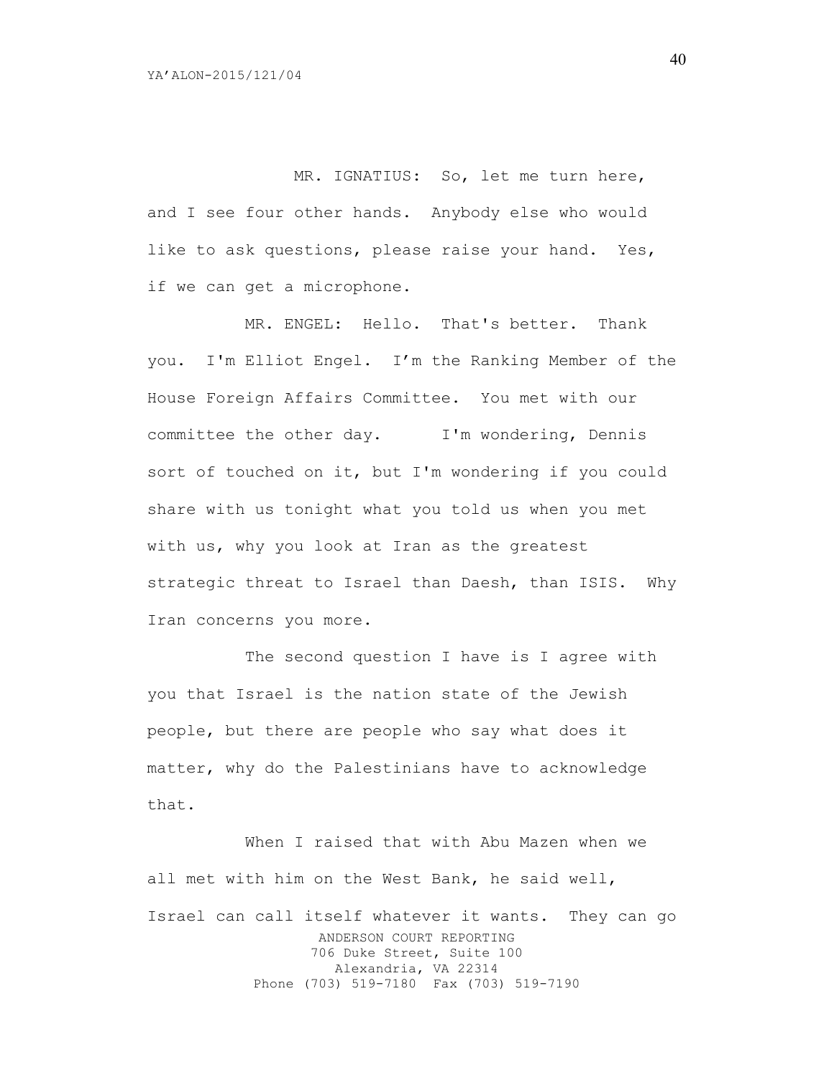MR. IGNATIUS: So, let me turn here, and I see four other hands. Anybody else who would like to ask questions, please raise your hand. Yes, if we can get a microphone.

MR. ENGEL: Hello. That's better. Thank you. I'm Elliot Engel. I'm the Ranking Member of the House Foreign Affairs Committee. You met with our committee the other day. I'm wondering, Dennis sort of touched on it, but I'm wondering if you could share with us tonight what you told us when you met with us, why you look at Iran as the greatest strategic threat to Israel than Daesh, than ISIS. Why Iran concerns you more.

The second question I have is I agree with you that Israel is the nation state of the Jewish people, but there are people who say what does it matter, why do the Palestinians have to acknowledge that.

ANDERSON COURT REPORTING 706 Duke Street, Suite 100 Alexandria, VA 22314 Phone (703) 519-7180 Fax (703) 519-7190 When I raised that with Abu Mazen when we all met with him on the West Bank, he said well, Israel can call itself whatever it wants. They can go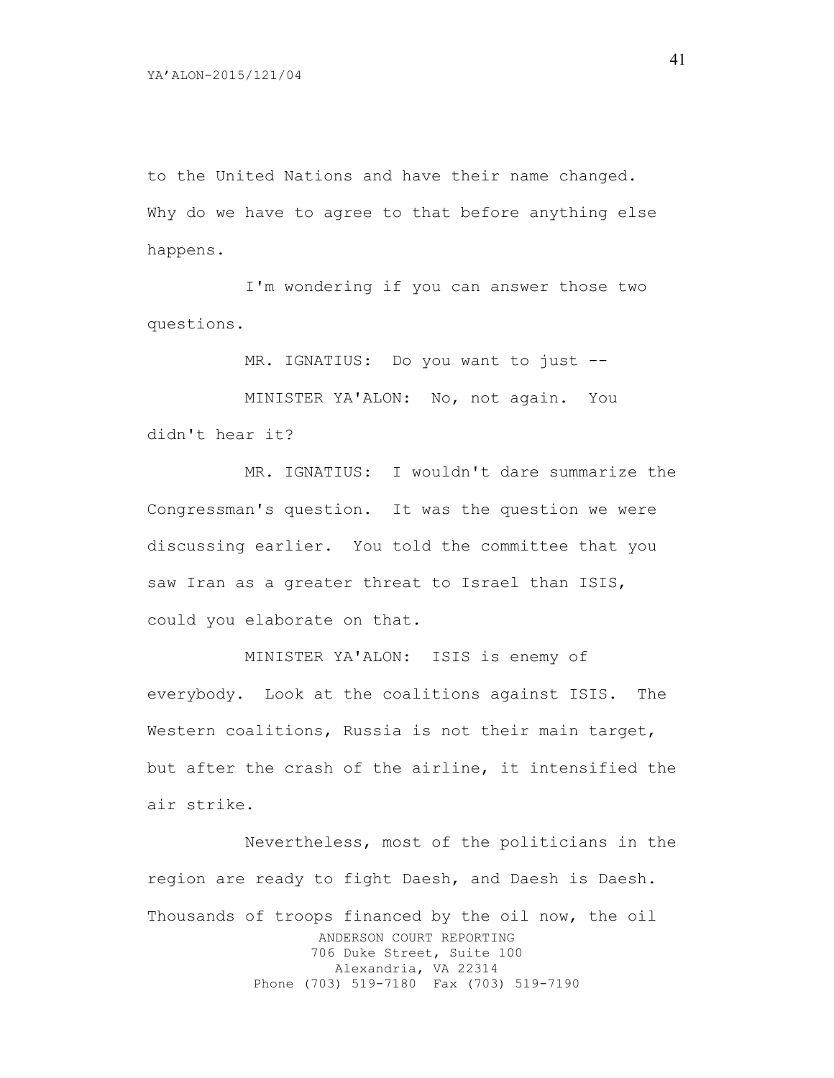to the United Nations and have their name changed. Why do we have to agree to that before anything else happens.

I'm wondering if you can answer those two questions.

MR. IGNATIUS: Do you want to just --

MINISTER YA'ALON: No, not again. You didn't hear it?

MR. IGNATIUS: I wouldn't dare summarize the Congressman's question. It was the question we were discussing earlier. You told the committee that you saw Iran as a greater threat to Israel than ISIS, could you elaborate on that.

MINISTER YA'ALON: ISIS is enemy of everybody. Look at the coalitions against ISIS. The Western coalitions, Russia is not their main target, but after the crash of the airline, it intensified the air strike.

ANDERSON COURT REPORTING 706 Duke Street, Suite 100 Alexandria, VA 22314 Phone (703) 519-7180 Fax (703) 519-7190 Nevertheless, most of the politicians in the region are ready to fight Daesh, and Daesh is Daesh. Thousands of troops financed by the oil now, the oil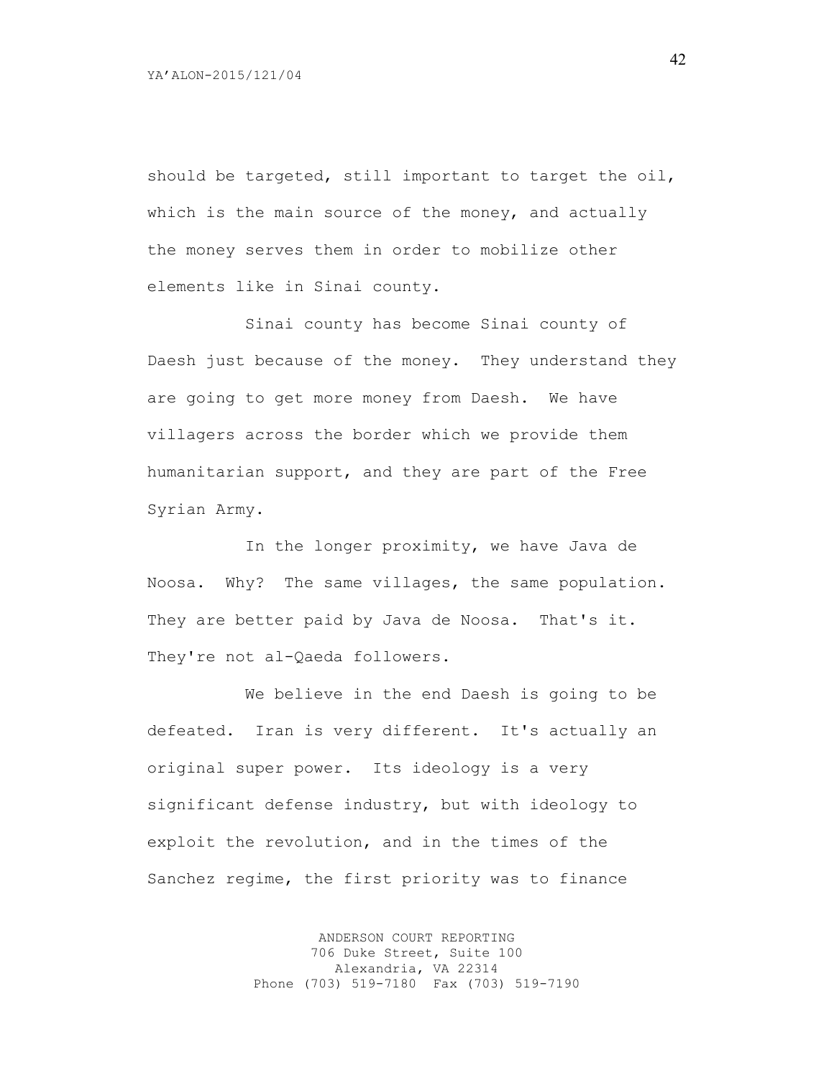should be targeted, still important to target the oil, which is the main source of the money, and actually the money serves them in order to mobilize other elements like in Sinai county.

Sinai county has become Sinai county of Daesh just because of the money. They understand they are going to get more money from Daesh. We have villagers across the border which we provide them humanitarian support, and they are part of the Free Syrian Army.

In the longer proximity, we have Java de Noosa. Why? The same villages, the same population. They are better paid by Java de Noosa. That's it. They're not al-Qaeda followers.

We believe in the end Daesh is going to be defeated. Iran is very different. It's actually an original super power. Its ideology is a very significant defense industry, but with ideology to exploit the revolution, and in the times of the Sanchez regime, the first priority was to finance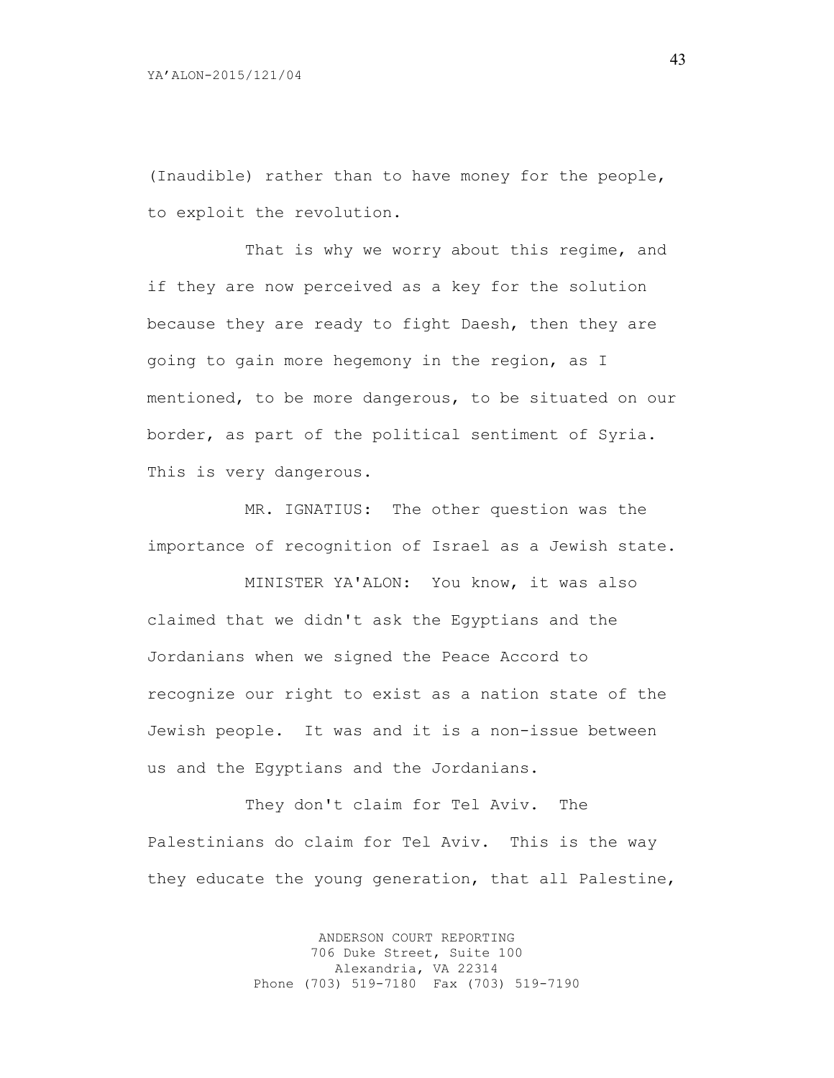(Inaudible) rather than to have money for the people, to exploit the revolution.

That is why we worry about this regime, and if they are now perceived as a key for the solution because they are ready to fight Daesh, then they are going to gain more hegemony in the region, as I mentioned, to be more dangerous, to be situated on our border, as part of the political sentiment of Syria. This is very dangerous.

MR. IGNATIUS: The other question was the importance of recognition of Israel as a Jewish state.

MINISTER YA'ALON: You know, it was also claimed that we didn't ask the Egyptians and the Jordanians when we signed the Peace Accord to recognize our right to exist as a nation state of the Jewish people. It was and it is a non-issue between us and the Egyptians and the Jordanians.

They don't claim for Tel Aviv. The Palestinians do claim for Tel Aviv. This is the way they educate the young generation, that all Palestine,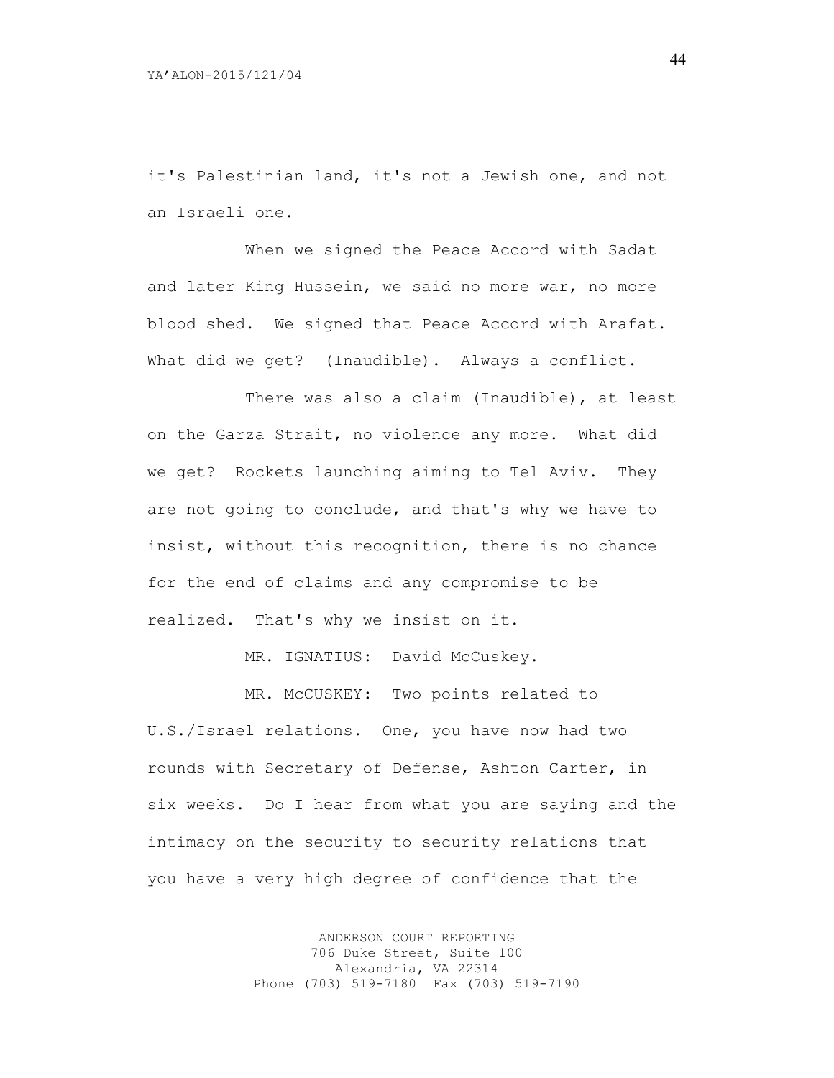it's Palestinian land, it's not a Jewish one, and not an Israeli one.

When we signed the Peace Accord with Sadat and later King Hussein, we said no more war, no more blood shed. We signed that Peace Accord with Arafat. What did we qet? (Inaudible). Always a conflict.

There was also a claim (Inaudible), at least on the Garza Strait, no violence any more. What did we get? Rockets launching aiming to Tel Aviv. They are not going to conclude, and that's why we have to insist, without this recognition, there is no chance for the end of claims and any compromise to be realized. That's why we insist on it.

MR. IGNATIUS: David McCuskey.

MR. McCUSKEY: Two points related to U.S./Israel relations. One, you have now had two rounds with Secretary of Defense, Ashton Carter, in six weeks. Do I hear from what you are saying and the intimacy on the security to security relations that you have a very high degree of confidence that the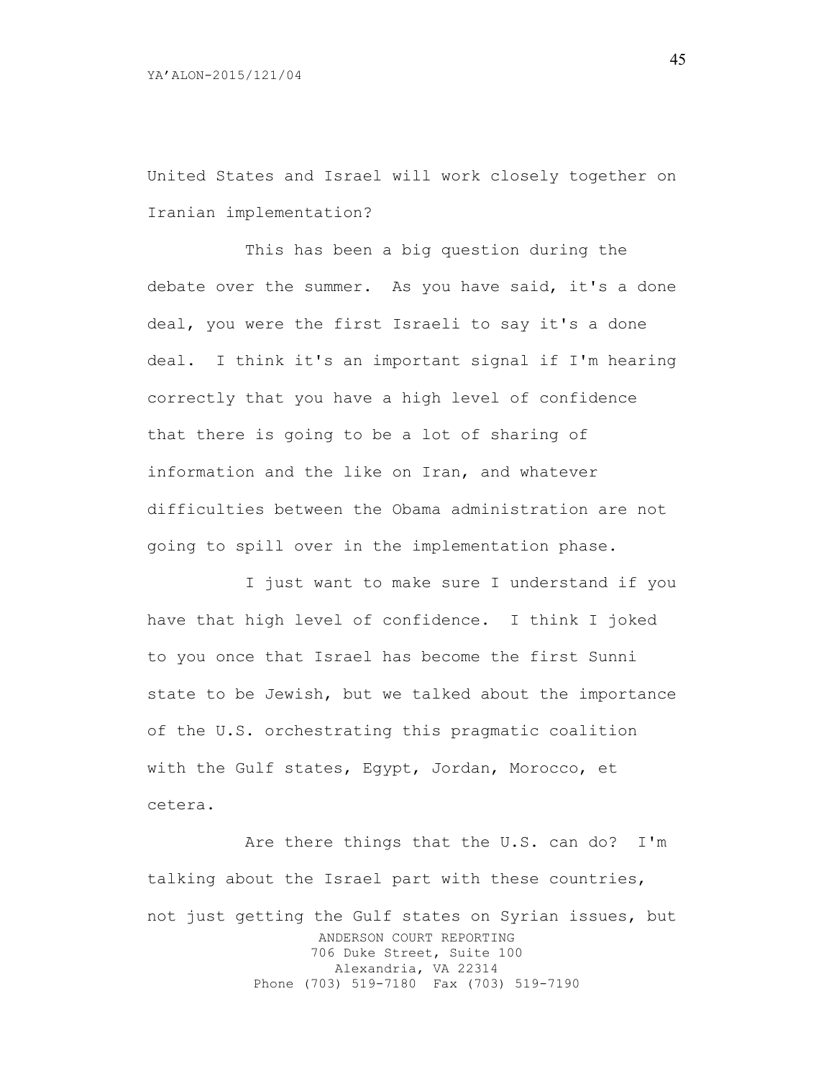United States and Israel will work closely together on Iranian implementation?

This has been a big question during the debate over the summer. As you have said, it's a done deal, you were the first Israeli to say it's a done deal. I think it's an important signal if I'm hearing correctly that you have a high level of confidence that there is going to be a lot of sharing of information and the like on Iran, and whatever difficulties between the Obama administration are not going to spill over in the implementation phase.

I just want to make sure I understand if you have that high level of confidence. I think I joked to you once that Israel has become the first Sunni state to be Jewish, but we talked about the importance of the U.S. orchestrating this pragmatic coalition with the Gulf states, Egypt, Jordan, Morocco, et cetera.

ANDERSON COURT REPORTING 706 Duke Street, Suite 100 Alexandria, VA 22314 Phone (703) 519-7180 Fax (703) 519-7190 Are there things that the U.S. can do? I'm talking about the Israel part with these countries, not just getting the Gulf states on Syrian issues, but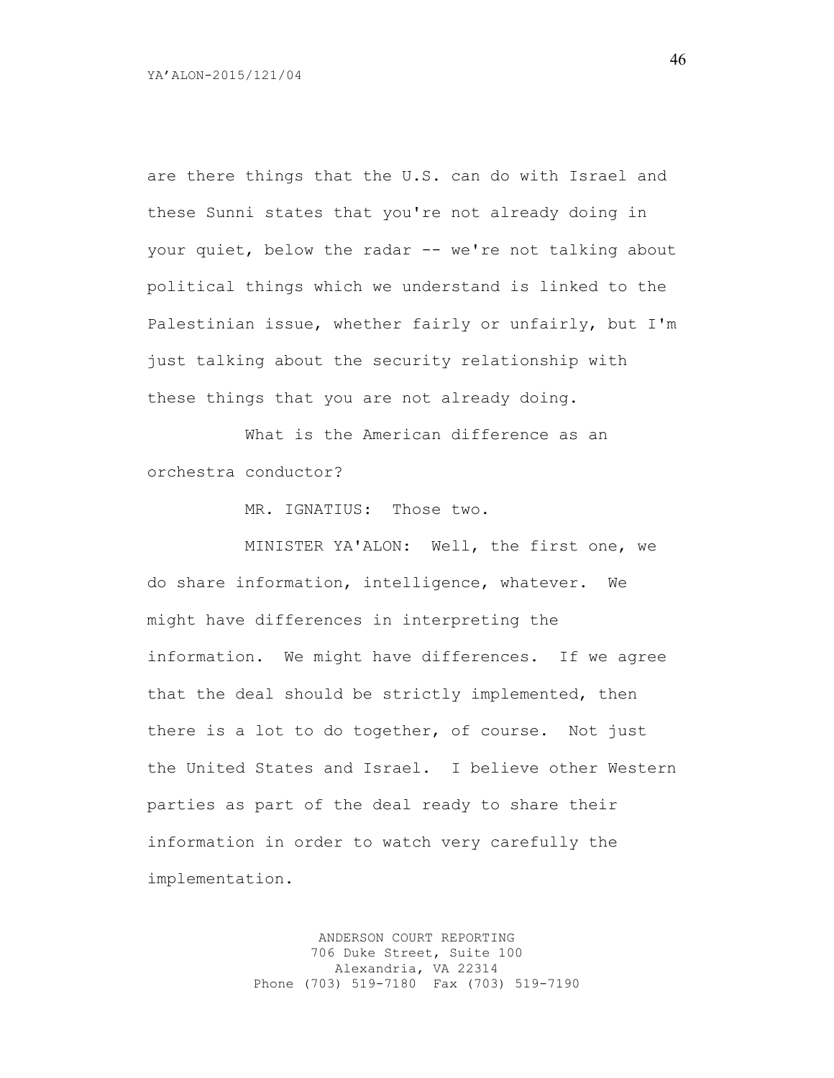are there things that the U.S. can do with Israel and these Sunni states that you're not already doing in your quiet, below the radar -- we're not talking about political things which we understand is linked to the Palestinian issue, whether fairly or unfairly, but I'm just talking about the security relationship with these things that you are not already doing.

What is the American difference as an orchestra conductor?

MR. IGNATIUS: Those two.

MINISTER YA'ALON: Well, the first one, we do share information, intelligence, whatever. We might have differences in interpreting the information. We might have differences. If we agree that the deal should be strictly implemented, then there is a lot to do together, of course. Not just the United States and Israel. I believe other Western parties as part of the deal ready to share their information in order to watch very carefully the implementation.

> ANDERSON COURT REPORTING 706 Duke Street, Suite 100 Alexandria, VA 22314 Phone (703) 519-7180 Fax (703) 519-7190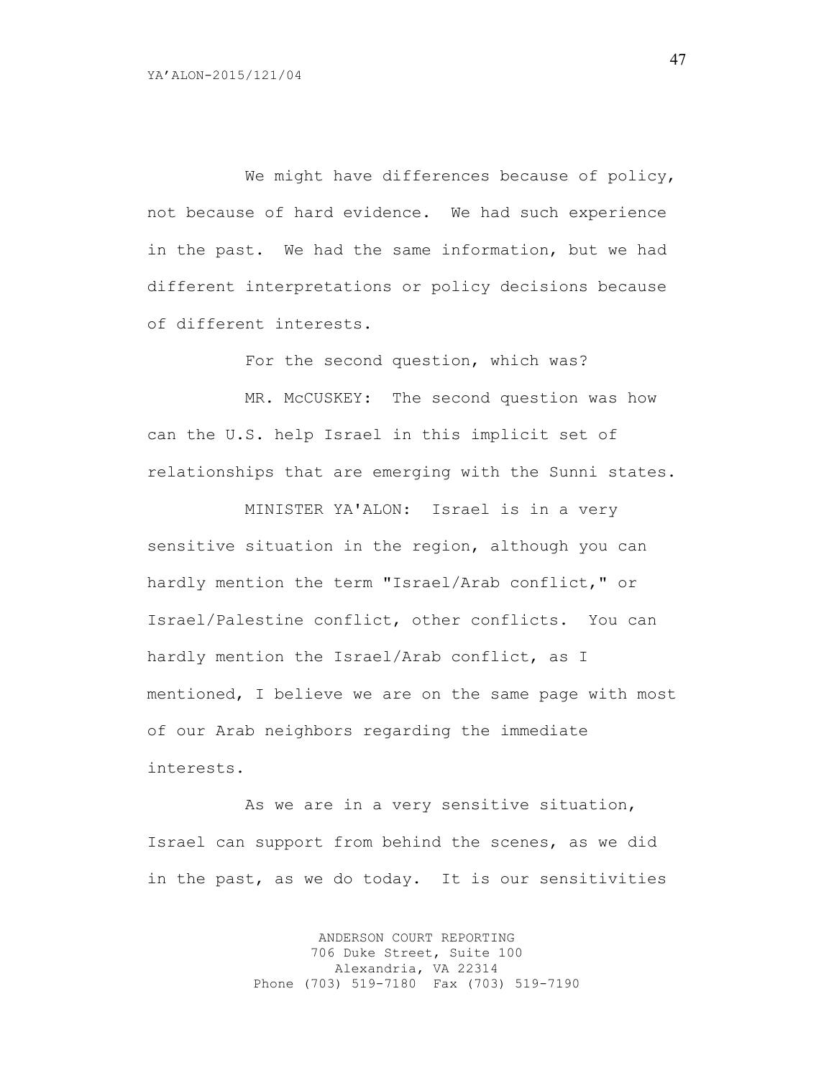We might have differences because of policy, not because of hard evidence. We had such experience in the past. We had the same information, but we had different interpretations or policy decisions because of different interests.

For the second question, which was?

MR. McCUSKEY: The second question was how can the U.S. help Israel in this implicit set of relationships that are emerging with the Sunni states.

MINISTER YA'ALON: Israel is in a very sensitive situation in the region, although you can hardly mention the term "Israel/Arab conflict," or Israel/Palestine conflict, other conflicts. You can hardly mention the Israel/Arab conflict, as I mentioned, I believe we are on the same page with most of our Arab neighbors regarding the immediate interests.

As we are in a very sensitive situation, Israel can support from behind the scenes, as we did in the past, as we do today. It is our sensitivities

> ANDERSON COURT REPORTING 706 Duke Street, Suite 100 Alexandria, VA 22314 Phone (703) 519-7180 Fax (703) 519-7190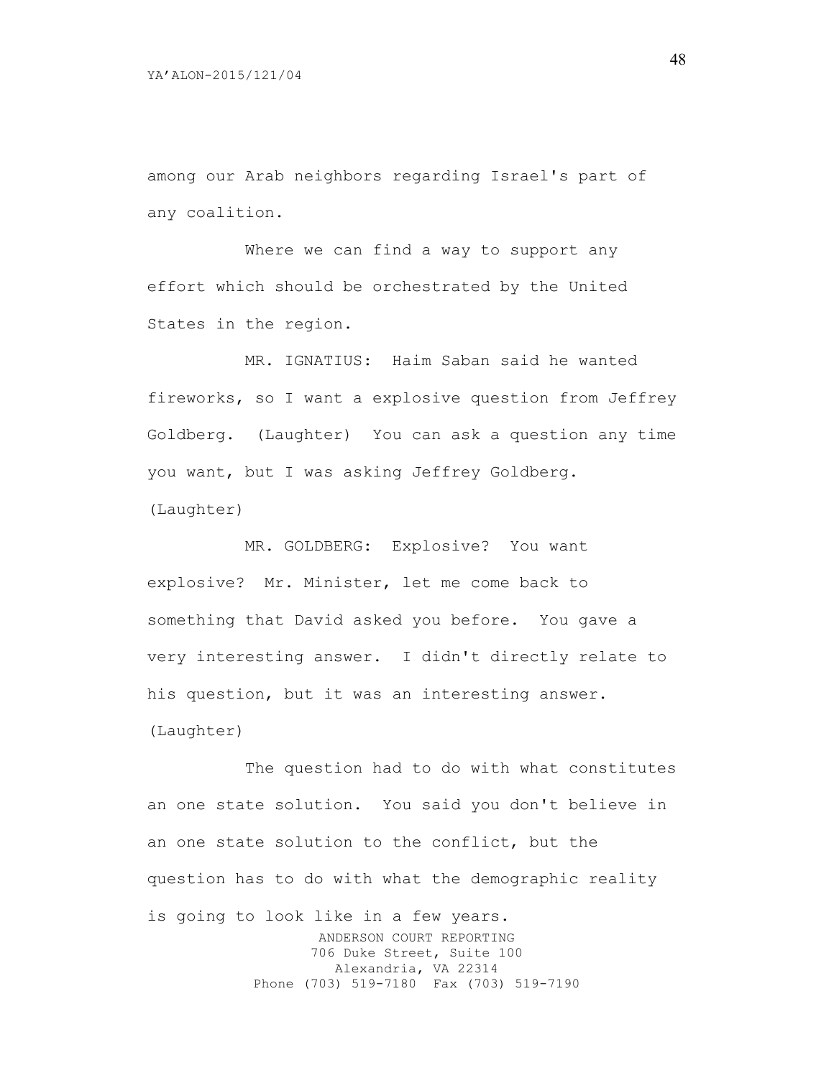among our Arab neighbors regarding Israel's part of any coalition.

Where we can find a way to support any effort which should be orchestrated by the United States in the region.

MR. IGNATIUS: Haim Saban said he wanted fireworks, so I want a explosive question from Jeffrey Goldberg. (Laughter) You can ask a question any time you want, but I was asking Jeffrey Goldberg. (Laughter)

MR. GOLDBERG: Explosive? You want explosive? Mr. Minister, let me come back to something that David asked you before. You gave a very interesting answer. I didn't directly relate to his question, but it was an interesting answer. (Laughter)

ANDERSON COURT REPORTING 706 Duke Street, Suite 100 Alexandria, VA 22314 Phone (703) 519-7180 Fax (703) 519-7190 The question had to do with what constitutes an one state solution. You said you don't believe in an one state solution to the conflict, but the question has to do with what the demographic reality is going to look like in a few years.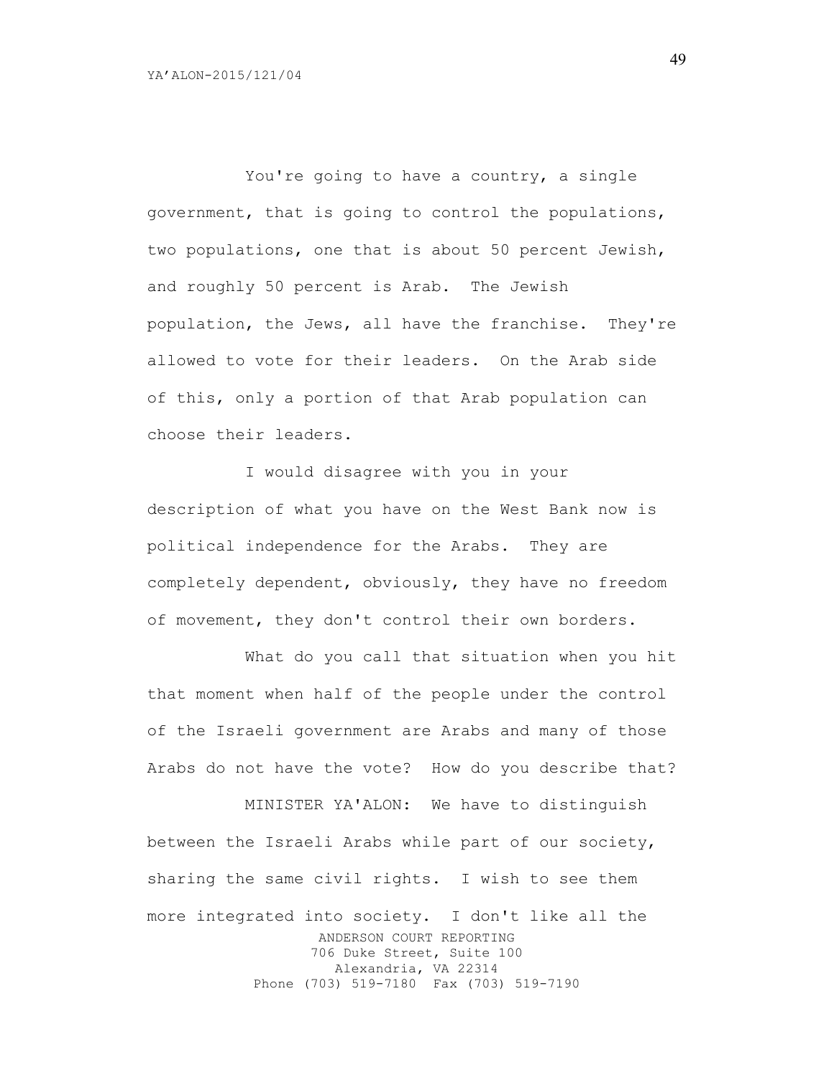You're going to have a country, a single government, that is going to control the populations, two populations, one that is about 50 percent Jewish, and roughly 50 percent is Arab. The Jewish population, the Jews, all have the franchise. They're allowed to vote for their leaders. On the Arab side of this, only a portion of that Arab population can choose their leaders.

I would disagree with you in your description of what you have on the West Bank now is political independence for the Arabs. They are completely dependent, obviously, they have no freedom of movement, they don't control their own borders.

What do you call that situation when you hit that moment when half of the people under the control of the Israeli government are Arabs and many of those Arabs do not have the vote? How do you describe that?

ANDERSON COURT REPORTING 706 Duke Street, Suite 100 Alexandria, VA 22314 Phone (703) 519-7180 Fax (703) 519-7190 MINISTER YA'ALON: We have to distinguish between the Israeli Arabs while part of our society, sharing the same civil rights. I wish to see them more integrated into society. I don't like all the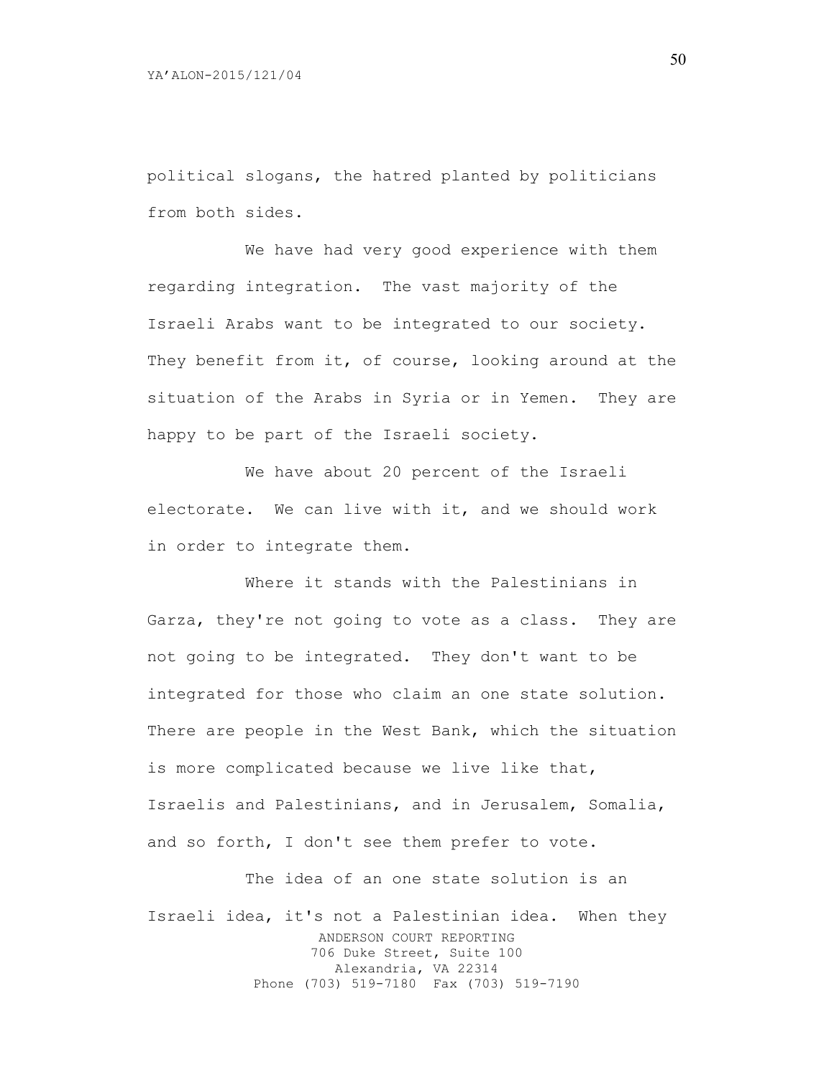political slogans, the hatred planted by politicians from both sides.

We have had very good experience with them regarding integration. The vast majority of the Israeli Arabs want to be integrated to our society. They benefit from it, of course, looking around at the situation of the Arabs in Syria or in Yemen. They are happy to be part of the Israeli society.

We have about 20 percent of the Israeli electorate. We can live with it, and we should work in order to integrate them.

Where it stands with the Palestinians in Garza, they're not going to vote as a class. They are not going to be integrated. They don't want to be integrated for those who claim an one state solution. There are people in the West Bank, which the situation is more complicated because we live like that, Israelis and Palestinians, and in Jerusalem, Somalia, and so forth, I don't see them prefer to vote.

ANDERSON COURT REPORTING 706 Duke Street, Suite 100 Alexandria, VA 22314 Phone (703) 519-7180 Fax (703) 519-7190 The idea of an one state solution is an Israeli idea, it's not a Palestinian idea. When they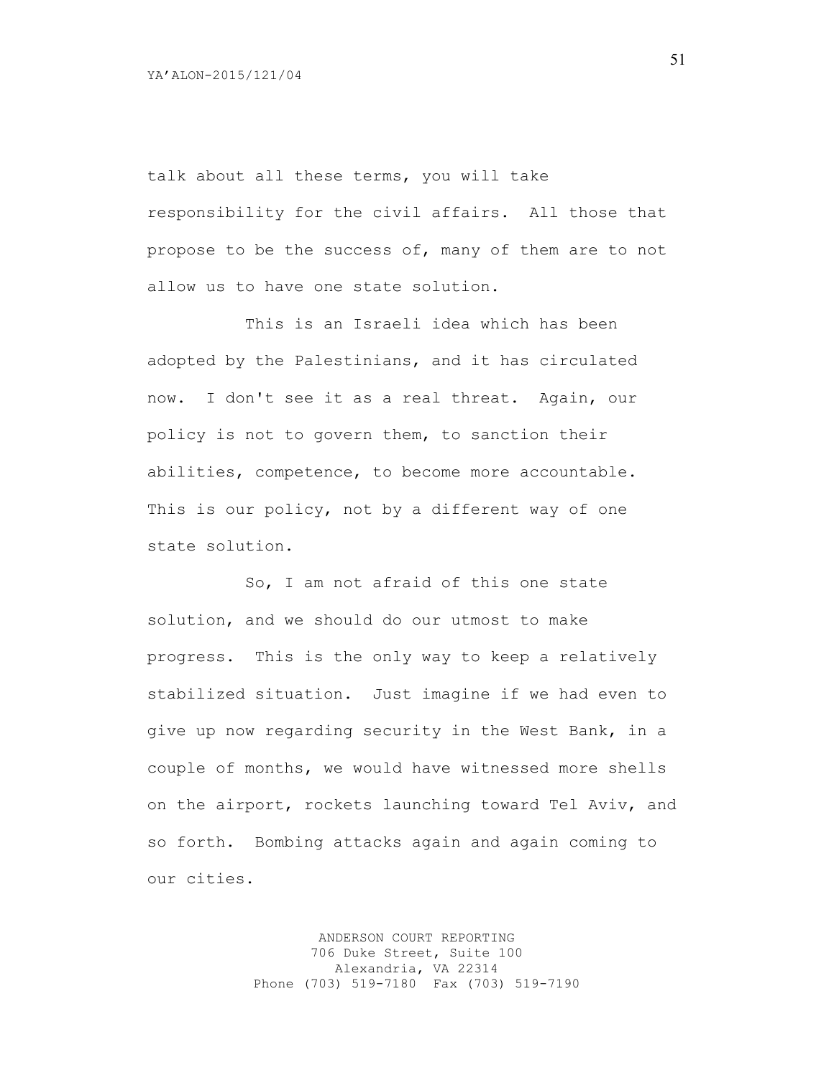talk about all these terms, you will take responsibility for the civil affairs. All those that propose to be the success of, many of them are to not allow us to have one state solution.

This is an Israeli idea which has been adopted by the Palestinians, and it has circulated now. I don't see it as a real threat. Again, our policy is not to govern them, to sanction their abilities, competence, to become more accountable. This is our policy, not by a different way of one state solution.

So, I am not afraid of this one state solution, and we should do our utmost to make progress. This is the only way to keep a relatively stabilized situation. Just imagine if we had even to give up now regarding security in the West Bank, in a couple of months, we would have witnessed more shells on the airport, rockets launching toward Tel Aviv, and so forth. Bombing attacks again and again coming to our cities.

> ANDERSON COURT REPORTING 706 Duke Street, Suite 100 Alexandria, VA 22314 Phone (703) 519-7180 Fax (703) 519-7190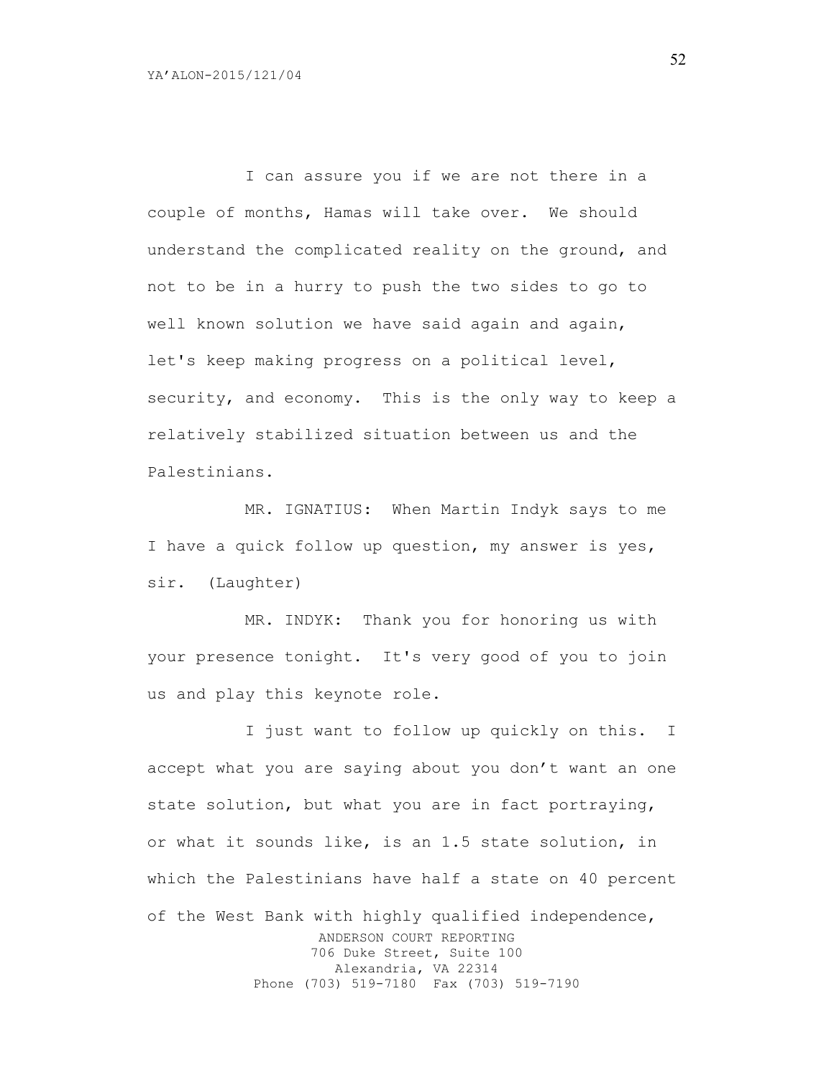I can assure you if we are not there in a couple of months, Hamas will take over. We should understand the complicated reality on the ground, and not to be in a hurry to push the two sides to go to well known solution we have said again and again, let's keep making progress on a political level, security, and economy. This is the only way to keep a relatively stabilized situation between us and the Palestinians.

MR. IGNATIUS: When Martin Indyk says to me I have a quick follow up question, my answer is yes, sir. (Laughter)

MR. INDYK: Thank you for honoring us with your presence tonight. It's very good of you to join us and play this keynote role.

ANDERSON COURT REPORTING 706 Duke Street, Suite 100 Alexandria, VA 22314 Phone (703) 519-7180 Fax (703) 519-7190 I just want to follow up quickly on this. I accept what you are saying about you don't want an one state solution, but what you are in fact portraying, or what it sounds like, is an 1.5 state solution, in which the Palestinians have half a state on 40 percent of the West Bank with highly qualified independence,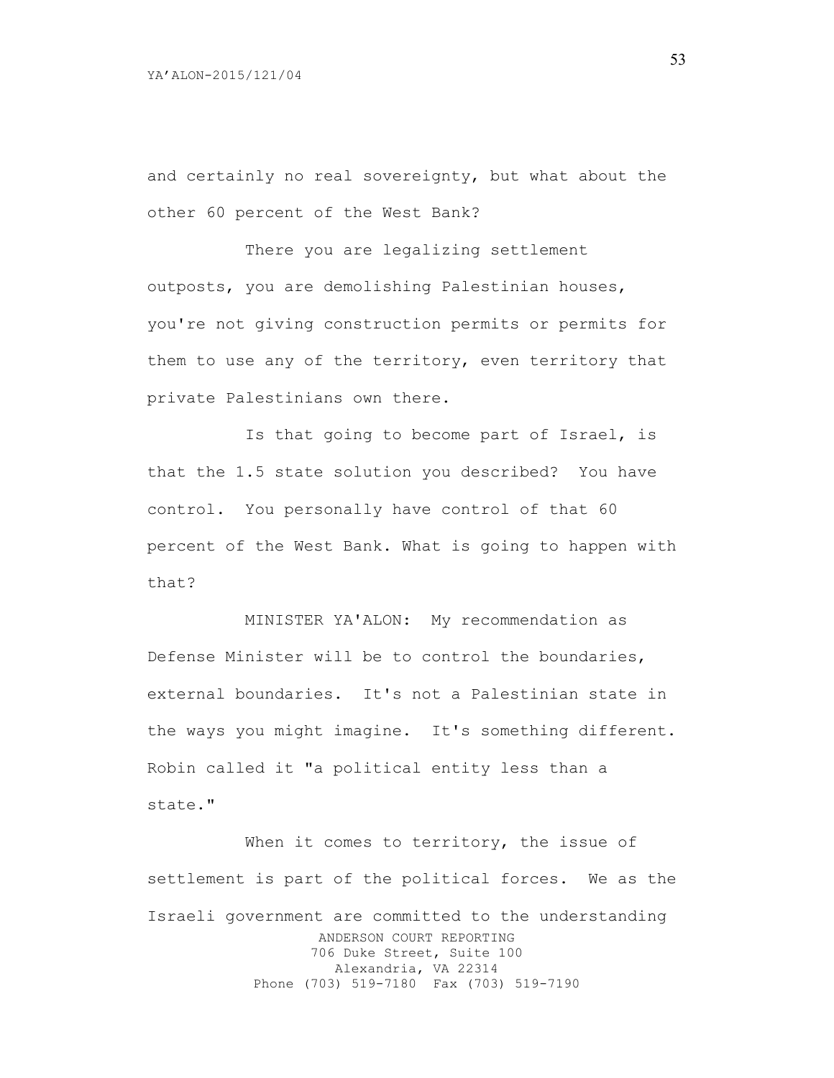and certainly no real sovereignty, but what about the other 60 percent of the West Bank?

There you are legalizing settlement outposts, you are demolishing Palestinian houses, you're not giving construction permits or permits for them to use any of the territory, even territory that private Palestinians own there.

Is that going to become part of Israel, is that the 1.5 state solution you described? You have control. You personally have control of that 60 percent of the West Bank. What is going to happen with that?

MINISTER YA'ALON: My recommendation as Defense Minister will be to control the boundaries, external boundaries. It's not a Palestinian state in the ways you might imagine. It's something different. Robin called it "a political entity less than a state."

ANDERSON COURT REPORTING 706 Duke Street, Suite 100 Alexandria, VA 22314 Phone (703) 519-7180 Fax (703) 519-7190 When it comes to territory, the issue of settlement is part of the political forces. We as the Israeli government are committed to the understanding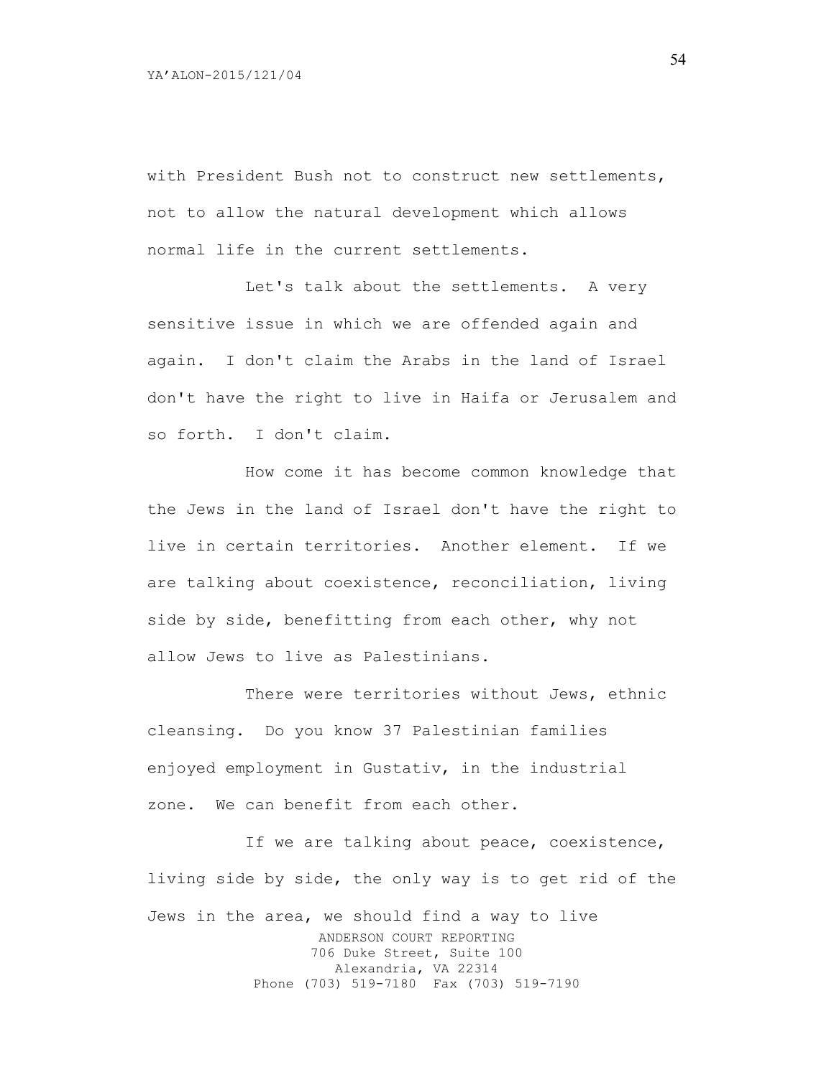with President Bush not to construct new settlements, not to allow the natural development which allows normal life in the current settlements.

Let's talk about the settlements. A very sensitive issue in which we are offended again and again. I don't claim the Arabs in the land of Israel don't have the right to live in Haifa or Jerusalem and so forth. I don't claim.

How come it has become common knowledge that the Jews in the land of Israel don't have the right to live in certain territories. Another element. If we are talking about coexistence, reconciliation, living side by side, benefitting from each other, why not allow Jews to live as Palestinians.

There were territories without Jews, ethnic cleansing. Do you know 37 Palestinian families enjoyed employment in Gustativ, in the industrial zone. We can benefit from each other.

ANDERSON COURT REPORTING 706 Duke Street, Suite 100 Alexandria, VA 22314 Phone (703) 519-7180 Fax (703) 519-7190 If we are talking about peace, coexistence, living side by side, the only way is to get rid of the Jews in the area, we should find a way to live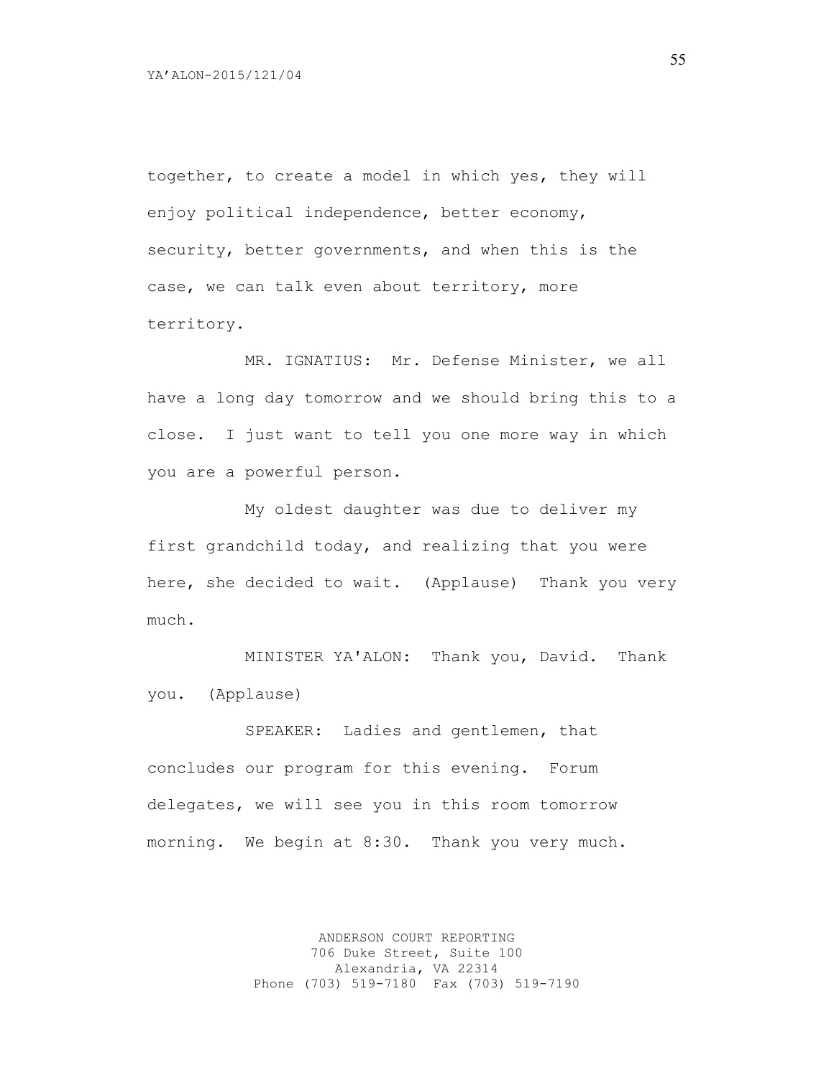together, to create a model in which yes, they will enjoy political independence, better economy, security, better governments, and when this is the case, we can talk even about territory, more territory.

MR. IGNATIUS: Mr. Defense Minister, we all have a long day tomorrow and we should bring this to a close. I just want to tell you one more way in which you are a powerful person.

My oldest daughter was due to deliver my first grandchild today, and realizing that you were here, she decided to wait. (Applause) Thank you very much.

MINISTER YA'ALON: Thank you, David. Thank you. (Applause)

SPEAKER: Ladies and gentlemen, that concludes our program for this evening. Forum delegates, we will see you in this room tomorrow morning. We begin at 8:30. Thank you very much.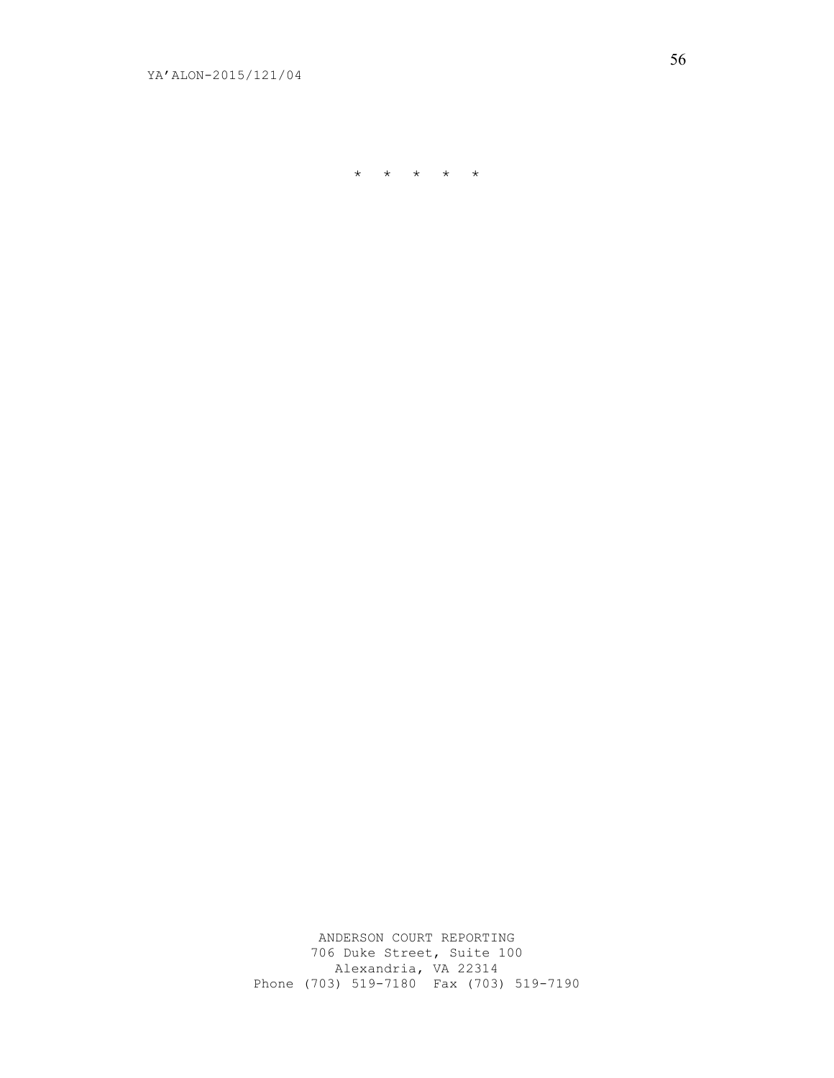\* \* \* \* \*